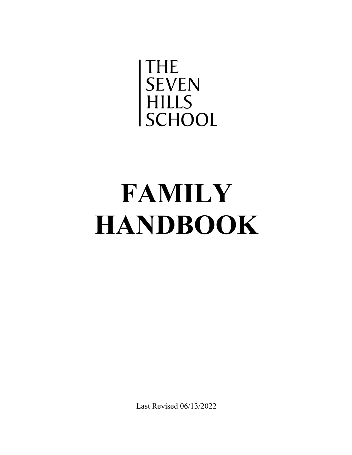

# **FAMILY HANDBOOK**

Last Revised 06/13/2022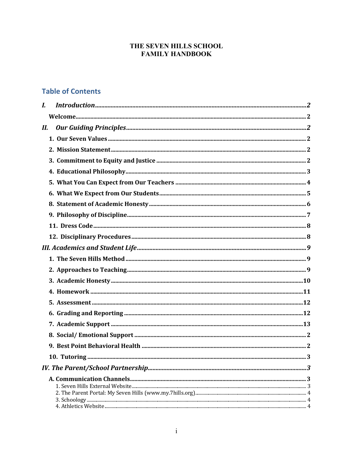## THE SEVEN HILLS SCHOOL **FAMILY HANDBOOK**

# **Table of Contents**

| $\boldsymbol{I}$ . |  |
|--------------------|--|
|                    |  |
| Н.                 |  |
|                    |  |
|                    |  |
|                    |  |
|                    |  |
|                    |  |
|                    |  |
|                    |  |
|                    |  |
|                    |  |
|                    |  |
|                    |  |
|                    |  |
|                    |  |
|                    |  |
|                    |  |
|                    |  |
|                    |  |
|                    |  |
|                    |  |
|                    |  |
|                    |  |
|                    |  |
|                    |  |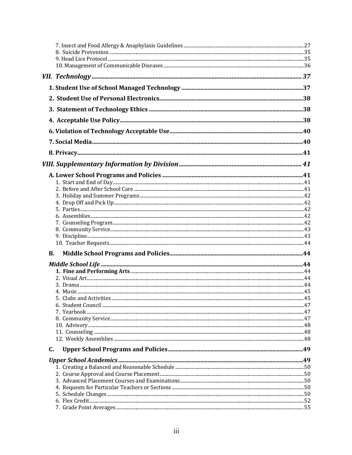|    | <b>B.</b> |  |
|----|-----------|--|
|    |           |  |
|    |           |  |
|    |           |  |
|    |           |  |
|    |           |  |
|    |           |  |
|    |           |  |
|    |           |  |
|    |           |  |
|    |           |  |
|    |           |  |
| C. |           |  |
|    |           |  |
|    |           |  |
|    |           |  |
|    |           |  |
|    |           |  |
|    |           |  |
|    |           |  |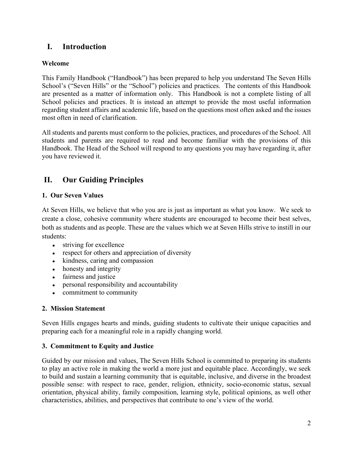# **I. Introduction**

## **Welcome**

This Family Handbook ("Handbook") has been prepared to help you understand The Seven Hills School's ("Seven Hills" or the "School") policies and practices. The contents of this Handbook are presented as a matter of information only. This Handbook is not a complete listing of all School policies and practices. It is instead an attempt to provide the most useful information regarding student affairs and academic life, based on the questions most often asked and the issues most often in need of clarification.

All students and parents must conform to the policies, practices, and procedures of the School. All students and parents are required to read and become familiar with the provisions of this Handbook. The Head of the School will respond to any questions you may have regarding it, after you have reviewed it.

# **II. Our Guiding Principles**

## **1. Our Seven Values**

At Seven Hills, we believe that who you are is just as important as what you know. We seek to create a close, cohesive community where students are encouraged to become their best selves, both as students and as people. These are the values which we at Seven Hills strive to instill in our students:

- striving for excellence
- respect for others and appreciation of diversity
- kindness, caring and compassion
- honesty and integrity
- fairness and justice
- personal responsibility and accountability
- commitment to community

## **2. Mission Statement**

Seven Hills engages hearts and minds, guiding students to cultivate their unique capacities and preparing each for a meaningful role in a rapidly changing world.

## **3. Commitment to Equity and Justice**

Guided by our mission and values, The Seven Hills School is committed to preparing its students to play an active role in making the world a more just and equitable place. Accordingly, we seek to build and sustain a learning community that is equitable, inclusive, and diverse in the broadest possible sense: with respect to race, gender, religion, ethnicity, socio-economic status, sexual orientation, physical ability, family composition, learning style, political opinions, as well other characteristics, abilities, and perspectives that contribute to one's view of the world.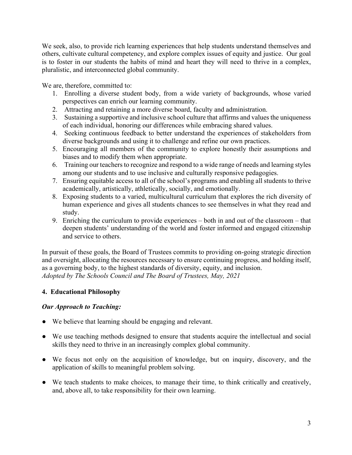We seek, also, to provide rich learning experiences that help students understand themselves and others, cultivate cultural competency, and explore complex issues of equity and justice. Our goal is to foster in our students the habits of mind and heart they will need to thrive in a complex, pluralistic, and interconnected global community.

We are, therefore, committed to:

- 1. Enrolling a diverse student body, from a wide variety of backgrounds, whose varied perspectives can enrich our learning community.
- 2. Attracting and retaining a more diverse board, faculty and administration.
- 3. Sustaining a supportive and inclusive school culture that affirms and values the uniqueness of each individual, honoring our differences while embracing shared values.
- 4. Seeking continuous feedback to better understand the experiences of stakeholders from diverse backgrounds and using it to challenge and refine our own practices.
- 5. Encouraging all members of the community to explore honestly their assumptions and biases and to modify them when appropriate.
- 6. Training our teachers to recognize and respond to a wide range of needs and learning styles among our students and to use inclusive and culturally responsive pedagogies.
- 7. Ensuring equitable access to all of the school's programs and enabling all students to thrive academically, artistically, athletically, socially, and emotionally.
- 8. Exposing students to a varied, multicultural curriculum that explores the rich diversity of human experience and gives all students chances to see themselves in what they read and study.
- 9. Enriching the curriculum to provide experiences both in and out of the classroom that deepen students' understanding of the world and foster informed and engaged citizenship and service to others.

In pursuit of these goals, the Board of Trustees commits to providing on-going strategic direction and oversight, allocating the resources necessary to ensure continuing progress, and holding itself, as a governing body, to the highest standards of diversity, equity, and inclusion. *Adopted by The Schools Council and The Board of Trustees, May, 2021*

## **4. Educational Philosophy**

## *Our Approach to Teaching:*

- We believe that learning should be engaging and relevant.
- We use teaching methods designed to ensure that students acquire the intellectual and social skills they need to thrive in an increasingly complex global community.
- We focus not only on the acquisition of knowledge, but on inquiry, discovery, and the application of skills to meaningful problem solving.
- We teach students to make choices, to manage their time, to think critically and creatively, and, above all, to take responsibility for their own learning.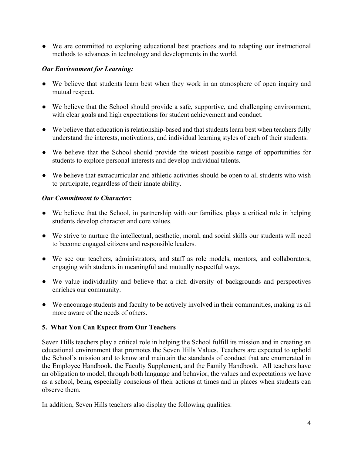● We are committed to exploring educational best practices and to adapting our instructional methods to advances in technology and developments in the world.

#### *Our Environment for Learning:*

- We believe that students learn best when they work in an atmosphere of open inquiry and mutual respect.
- We believe that the School should provide a safe, supportive, and challenging environment, with clear goals and high expectations for student achievement and conduct.
- We believe that education is relationship-based and that students learn best when teachers fully understand the interests, motivations, and individual learning styles of each of their students.
- We believe that the School should provide the widest possible range of opportunities for students to explore personal interests and develop individual talents.
- We believe that extracurricular and athletic activities should be open to all students who wish to participate, regardless of their innate ability.

## *Our Commitment to Character:*

- We believe that the School, in partnership with our families, plays a critical role in helping students develop character and core values.
- We strive to nurture the intellectual, aesthetic, moral, and social skills our students will need to become engaged citizens and responsible leaders.
- We see our teachers, administrators, and staff as role models, mentors, and collaborators, engaging with students in meaningful and mutually respectful ways.
- We value individuality and believe that a rich diversity of backgrounds and perspectives enriches our community.
- We encourage students and faculty to be actively involved in their communities, making us all more aware of the needs of others.

## **5. What You Can Expect from Our Teachers**

Seven Hills teachers play a critical role in helping the School fulfill its mission and in creating an educational environment that promotes the Seven Hills Values. Teachers are expected to uphold the School's mission and to know and maintain the standards of conduct that are enumerated in the Employee Handbook, the Faculty Supplement, and the Family Handbook. All teachers have an obligation to model, through both language and behavior, the values and expectations we have as a school, being especially conscious of their actions at times and in places when students can observe them.

In addition, Seven Hills teachers also display the following qualities: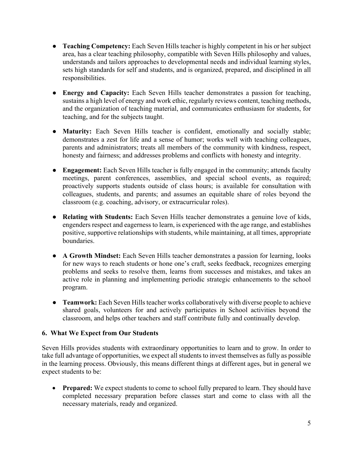- **Teaching Competency:** Each Seven Hills teacher is highly competent in his or her subject area, has a clear teaching philosophy, compatible with Seven Hills philosophy and values, understands and tailors approaches to developmental needs and individual learning styles, sets high standards for self and students, and is organized, prepared, and disciplined in all responsibilities.
- **Energy and Capacity:** Each Seven Hills teacher demonstrates a passion for teaching, sustains a high level of energy and work ethic, regularly reviews content, teaching methods, and the organization of teaching material, and communicates enthusiasm for students, for teaching, and for the subjects taught.
- **Maturity:** Each Seven Hills teacher is confident, emotionally and socially stable; demonstrates a zest for life and a sense of humor; works well with teaching colleagues, parents and administrators; treats all members of the community with kindness, respect, honesty and fairness; and addresses problems and conflicts with honesty and integrity.
- **Engagement:** Each Seven Hills teacher is fully engaged in the community; attends faculty meetings, parent conferences, assemblies, and special school events, as required; proactively supports students outside of class hours; is available for consultation with colleagues, students, and parents; and assumes an equitable share of roles beyond the classroom (e.g. coaching, advisory, or extracurricular roles).
- **Relating with Students:** Each Seven Hills teacher demonstrates a genuine love of kids, engenders respect and eagerness to learn, is experienced with the age range, and establishes positive, supportive relationships with students, while maintaining, at all times, appropriate boundaries.
- **A Growth Mindset:** Each Seven Hills teacher demonstrates a passion for learning, looks for new ways to reach students or hone one's craft, seeks feedback, recognizes emerging problems and seeks to resolve them, learns from successes and mistakes, and takes an active role in planning and implementing periodic strategic enhancements to the school program.
- **Teamwork:** Each Seven Hills teacher works collaboratively with diverse people to achieve shared goals, volunteers for and actively participates in School activities beyond the classroom, and helps other teachers and staff contribute fully and continually develop.

#### **6. What We Expect from Our Students**

Seven Hills provides students with extraordinary opportunities to learn and to grow. In order to take full advantage of opportunities, we expect all students to invest themselves as fully as possible in the learning process. Obviously, this means different things at different ages, but in general we expect students to be:

• **Prepared:** We expect students to come to school fully prepared to learn. They should have completed necessary preparation before classes start and come to class with all the necessary materials, ready and organized.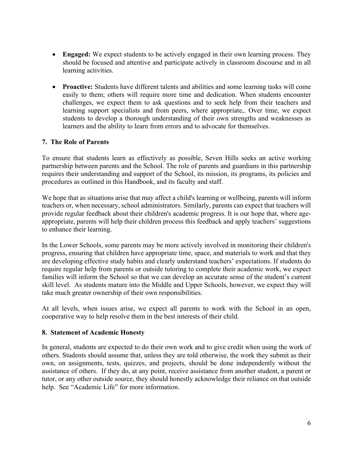- **Engaged:** We expect students to be actively engaged in their own learning process. They should be focused and attentive and participate actively in classroom discourse and in all learning activities.
- **Proactive:** Students have different talents and abilities and some learning tasks will come easily to them; others will require more time and dedication. When students encounter challenges, we expect them to ask questions and to seek help from their teachers and learning support specialists and from peers, where appropriate,. Over time, we expect students to develop a thorough understanding of their own strengths and weaknesses as learners and the ability to learn from errors and to advocate for themselves.

## **7. The Role of Parents**

To ensure that students learn as effectively as possible, Seven Hills seeks an active working partnership between parents and the School. The role of parents and guardians in this partnership requires their understanding and support of the School, its mission, its programs, its policies and procedures as outlined in this Handbook, and its faculty and staff.

We hope that as situations arise that may affect a child's learning or wellbeing, parents will inform teachers or, when necessary, school administrators. Similarly, parents can expect that teachers will provide regular feedback about their children's academic progress. It is our hope that, where ageappropriate, parents will help their children process this feedback and apply teachers' suggestions to enhance their learning.

In the Lower Schools, some parents may be more actively involved in monitoring their children's progress, ensuring that children have appropriate time, space, and materials to work and that they are developing effective study habits and clearly understand teachers' expectations. If students do require regular help from parents or outside tutoring to complete their academic work, we expect families will inform the School so that we can develop an accurate sense of the student's current skill level. As students mature into the Middle and Upper Schools, however, we expect they will take much greater ownership of their own responsibilities.

At all levels, when issues arise, we expect all parents to work with the School in an open, cooperative way to help resolve them in the best interests of their child.

#### **8. Statement of Academic Honesty**

In general, students are expected to do their own work and to give credit when using the work of others. Students should assume that, unless they are told otherwise, the work they submit as their own, on assignments, tests, quizzes, and projects, should be done independently without the assistance of others. If they do, at any point, receive assistance from another student, a parent or tutor, or any other outside source, they should honestly acknowledge their reliance on that outside help. See "Academic Life" for more information.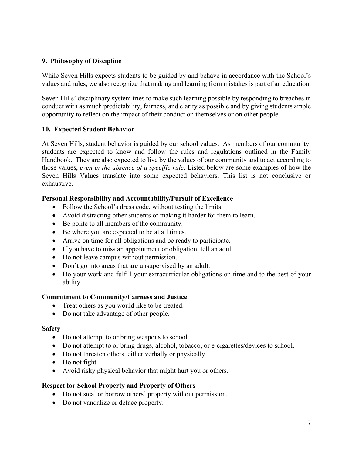#### **9. Philosophy of Discipline**

While Seven Hills expects students to be guided by and behave in accordance with the School's values and rules, we also recognize that making and learning from mistakes is part of an education.

Seven Hills' disciplinary system tries to make such learning possible by responding to breaches in conduct with as much predictability, fairness, and clarity as possible and by giving students ample opportunity to reflect on the impact of their conduct on themselves or on other people.

## **10. Expected Student Behavior**

At Seven Hills, student behavior is guided by our school values. As members of our community, students are expected to know and follow the rules and regulations outlined in the Family Handbook. They are also expected to live by the values of our community and to act according to those values, *even in the absence of a specific rule*. Listed below are some examples of how the Seven Hills Values translate into some expected behaviors. This list is not conclusive or exhaustive.

#### **Personal Responsibility and Accountability/Pursuit of Excellence**

- Follow the School's dress code, without testing the limits.
- Avoid distracting other students or making it harder for them to learn.
- Be polite to all members of the community.
- Be where you are expected to be at all times.
- Arrive on time for all obligations and be ready to participate.
- If you have to miss an appointment or obligation, tell an adult.
- Do not leave campus without permission.
- Don't go into areas that are unsupervised by an adult.
- Do your work and fulfill your extracurricular obligations on time and to the best of your ability.

#### **Commitment to Community/Fairness and Justice**

- Treat others as you would like to be treated.
- Do not take advantage of other people.

#### **Safety**

- Do not attempt to or bring weapons to school.
- Do not attempt to or bring drugs, alcohol, tobacco, or e-cigarettes/devices to school.
- Do not threaten others, either verbally or physically.
- Do not fight.
- Avoid risky physical behavior that might hurt you or others.

## **Respect for School Property and Property of Others**

- Do not steal or borrow others' property without permission.
- Do not vandalize or deface property.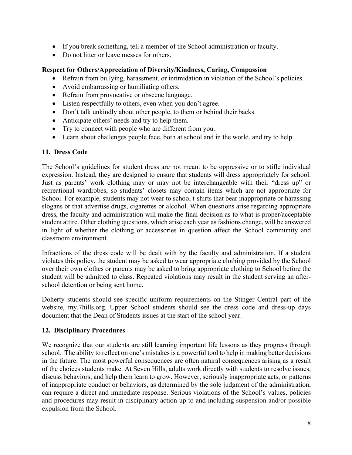- If you break something, tell a member of the School administration or faculty.
- Do not litter or leave messes for others.

#### **Respect for Others/Appreciation of Diversity/Kindness, Caring, Compassion**

- Refrain from bullying, harassment, or intimidation in violation of the School's policies.
- Avoid embarrassing or humiliating others.
- Refrain from provocative or obscene language.
- Listen respectfully to others, even when you don't agree.
- Don't talk unkindly about other people, to them or behind their backs.
- Anticipate others' needs and try to help them.
- Try to connect with people who are different from you.
- Learn about challenges people face, both at school and in the world, and try to help.

#### **11. Dress Code**

The School's guidelines for student dress are not meant to be oppressive or to stifle individual expression. Instead, they are designed to ensure that students will dress appropriately for school. Just as parents' work clothing may or may not be interchangeable with their "dress up" or recreational wardrobes, so students' closets may contain items which are not appropriate for School. For example, students may not wear to school t-shirts that bear inappropriate or harassing slogans or that advertise drugs, cigarettes or alcohol. When questions arise regarding appropriate dress, the faculty and administration will make the final decision as to what is proper/acceptable student attire. Other clothing questions, which arise each year as fashions change, will be answered in light of whether the clothing or accessories in question affect the School community and classroom environment.

Infractions of the dress code will be dealt with by the faculty and administration. If a student violates this policy, the student may be asked to wear appropriate clothing provided by the School over their own clothes or parents may be asked to bring appropriate clothing to School before the student will be admitted to class. Repeated violations may result in the student serving an afterschool detention or being sent home.

Doherty students should see specific uniform requirements on the Stinger Central part of the website, my.7hills.org. Upper School students should see the dress code and dress-up days document that the Dean of Students issues at the start of the school year.

#### **12. Disciplinary Procedures**

We recognize that our students are still learning important life lessons as they progress through school. The ability to reflect on one's mistakes is a powerful tool to help in making better decisions in the future. The most powerful consequences are often natural consequences arising as a result of the choices students make. At Seven Hills, adults work directly with students to resolve issues, discuss behaviors, and help them learn to grow. However, seriously inappropriate acts, or patterns of inappropriate conduct or behaviors, as determined by the sole judgment of the administration, can require a direct and immediate response. Serious violations of the School's values, policies and procedures may result in disciplinary action up to and including suspension and/or possible expulsion from the School.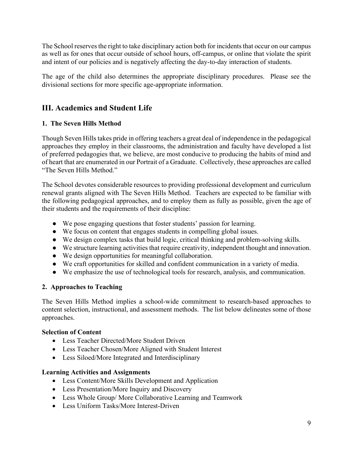The School reserves the right to take disciplinary action both for incidents that occur on our campus as well as for ones that occur outside of school hours, off-campus, or online that violate the spirit and intent of our policies and is negatively affecting the day-to-day interaction of students.

The age of the child also determines the appropriate disciplinary procedures. Please see the divisional sections for more specific age-appropriate information.

# **III. Academics and Student Life**

## **1. The Seven Hills Method**

Though Seven Hills takes pride in offering teachers a great deal of independence in the pedagogical approaches they employ in their classrooms, the administration and faculty have developed a list of preferred pedagogies that, we believe, are most conducive to producing the habits of mind and of heart that are enumerated in our Portrait of a Graduate. Collectively, these approaches are called "The Seven Hills Method."

The School devotes considerable resources to providing professional development and curriculum renewal grants aligned with The Seven Hills Method. Teachers are expected to be familiar with the following pedagogical approaches, and to employ them as fully as possible, given the age of their students and the requirements of their discipline:

- We pose engaging questions that foster students' passion for learning.
- We focus on content that engages students in compelling global issues.
- We design complex tasks that build logic, critical thinking and problem-solving skills.
- We structure learning activities that require creativity, independent thought and innovation.
- We design opportunities for meaningful collaboration.
- We craft opportunities for skilled and confident communication in a variety of media.
- We emphasize the use of technological tools for research, analysis, and communication.

## **2. Approaches to Teaching**

The Seven Hills Method implies a school-wide commitment to research-based approaches to content selection, instructional, and assessment methods. The list below delineates some of those approaches.

#### **Selection of Content**

- Less Teacher Directed/More Student Driven
- Less Teacher Chosen/More Aligned with Student Interest
- Less Siloed/More Integrated and Interdisciplinary

#### **Learning Activities and Assignments**

- Less Content/More Skills Development and Application
- Less Presentation/More Inquiry and Discovery
- Less Whole Group/ More Collaborative Learning and Teamwork
- Less Uniform Tasks/More Interest-Driven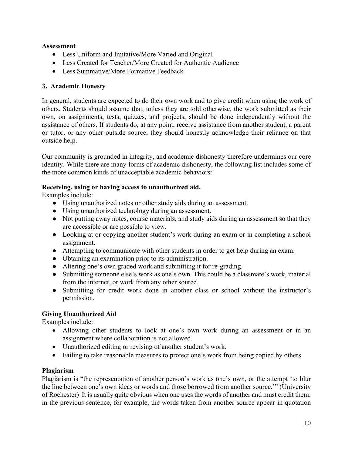#### **Assessment**

- Less Uniform and Imitative/More Varied and Original
- Less Created for Teacher/More Created for Authentic Audience
- Less Summative/More Formative Feedback

## **3. Academic Honesty**

In general, students are expected to do their own work and to give credit when using the work of others. Students should assume that, unless they are told otherwise, the work submitted as their own, on assignments, tests, quizzes, and projects, should be done independently without the assistance of others. If students do, at any point, receive assistance from another student, a parent or tutor, or any other outside source, they should honestly acknowledge their reliance on that outside help.

Our community is grounded in integrity, and academic dishonesty therefore undermines our core identity. While there are many forms of academic dishonesty, the following list includes some of the more common kinds of unacceptable academic behaviors:

## **Receiving, using or having access to unauthorized aid.**

Examples include:

- Using unauthorized notes or other study aids during an assessment.
- Using unauthorized technology during an assessment.
- Not putting away notes, course materials, and study aids during an assessment so that they are accessible or are possible to view.
- Looking at or copying another student's work during an exam or in completing a school assignment.
- Attempting to communicate with other students in order to get help during an exam.
- Obtaining an examination prior to its administration.
- Altering one's own graded work and submitting it for re-grading.
- Submitting someone else's work as one's own. This could be a classmate's work, material from the internet, or work from any other source.
- Submitting for credit work done in another class or school without the instructor's permission.

## **Giving Unauthorized Aid**

Examples include:

- Allowing other students to look at one's own work during an assessment or in an assignment where collaboration is not allowed.
- Unauthorized editing or revising of another student's work.
- Failing to take reasonable measures to protect one's work from being copied by others.

#### **Plagiarism**

Plagiarism is "the representation of another person's work as one's own, or the attempt 'to blur the line between one's own ideas or words and those borrowed from another source.'" (University of Rochester) It is usually quite obvious when one uses the words of another and must credit them; in the previous sentence, for example, the words taken from another source appear in quotation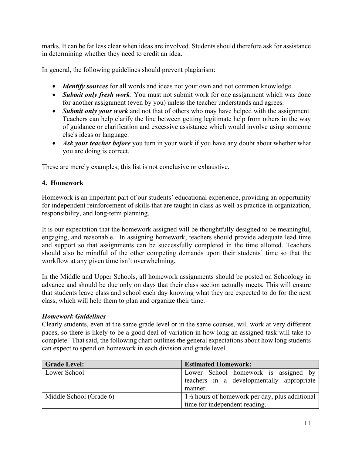marks. It can be far less clear when ideas are involved. Students should therefore ask for assistance in determining whether they need to credit an idea.

In general, the following guidelines should prevent plagiarism:

- *Identify sources* for all words and ideas not your own and not common knowledge.
- *Submit only fresh work*: You must not submit work for one assignment which was done for another assignment (even by you) unless the teacher understands and agrees.
- *Submit only your work* and not that of others who may have helped with the assignment. Teachers can help clarify the line between getting legitimate help from others in the way of guidance or clarification and excessive assistance which would involve using someone else's ideas or language.
- *Ask your teacher before* you turn in your work if you have any doubt about whether what you are doing is correct.

These are merely examples; this list is not conclusive or exhaustive.

## **4. Homework**

Homework is an important part of our students' educational experience, providing an opportunity for independent reinforcement of skills that are taught in class as well as practice in organization, responsibility, and long-term planning.

It is our expectation that the homework assigned will be thoughtfully designed to be meaningful, engaging, and reasonable. In assigning homework, teachers should provide adequate lead time and support so that assignments can be successfully completed in the time allotted. Teachers should also be mindful of the other competing demands upon their students' time so that the workflow at any given time isn't overwhelming.

In the Middle and Upper Schools, all homework assignments should be posted on Schoology in advance and should be due only on days that their class section actually meets. This will ensure that students leave class and school each day knowing what they are expected to do for the next class, which will help them to plan and organize their time.

#### *Homework Guidelines*

Clearly students, even at the same grade level or in the same courses, will work at very different paces, so there is likely to be a good deal of variation in how long an assigned task will take to complete. That said, the following chart outlines the general expectations about how long students can expect to spend on homework in each division and grade level.

| <b>Grade Level:</b>     | <b>Estimated Homework:</b>                                |  |  |
|-------------------------|-----------------------------------------------------------|--|--|
| Lower School            | Lower School homework is assigned by                      |  |  |
|                         | teachers in a developmentally appropriate                 |  |  |
|                         | manner.                                                   |  |  |
| Middle School (Grade 6) | $1\frac{1}{2}$ hours of homework per day, plus additional |  |  |
|                         | time for independent reading.                             |  |  |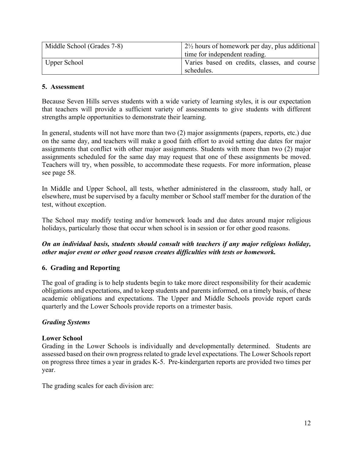| Middle School (Grades 7-8) | $2\frac{1}{2}$ hours of homework per day, plus additional |  |
|----------------------------|-----------------------------------------------------------|--|
|                            | time for independent reading.                             |  |
| Upper School               | Varies based on credits, classes, and course              |  |
|                            | schedules.                                                |  |

#### **5. Assessment**

Because Seven Hills serves students with a wide variety of learning styles, it is our expectation that teachers will provide a sufficient variety of assessments to give students with different strengths ample opportunities to demonstrate their learning.

In general, students will not have more than two (2) major assignments (papers, reports, etc.) due on the same day, and teachers will make a good faith effort to avoid setting due dates for major assignments that conflict with other major assignments. Students with more than two (2) major assignments scheduled for the same day may request that one of these assignments be moved. Teachers will try, when possible, to accommodate these requests. For more information, please see page 58.

In Middle and Upper School, all tests, whether administered in the classroom, study hall, or elsewhere, must be supervised by a faculty member or School staff member for the duration of the test, without exception.

The School may modify testing and/or homework loads and due dates around major religious holidays, particularly those that occur when school is in session or for other good reasons.

#### *On an individual basis, students should consult with teachers if any major religious holiday, other major event or other good reason creates difficulties with tests or homework.*

#### **6. Grading and Reporting**

The goal of grading is to help students begin to take more direct responsibility for their academic obligations and expectations, and to keep students and parents informed, on a timely basis, of these academic obligations and expectations. The Upper and Middle Schools provide report cards quarterly and the Lower Schools provide reports on a trimester basis.

#### *Grading Systems*

#### **Lower School**

Grading in the Lower Schools is individually and developmentally determined. Students are assessed based on their own progress related to grade level expectations. The Lower Schools report on progress three times a year in grades K-5. Pre-kindergarten reports are provided two times per year.

The grading scales for each division are: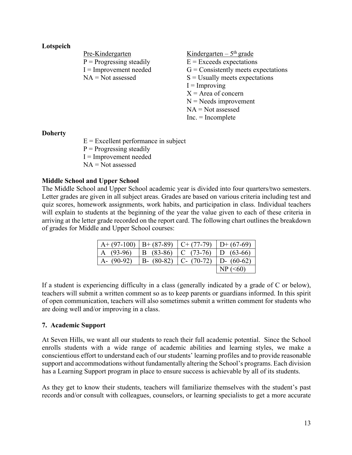#### **Lotspeich**

| Pre-Kindergarten           | Kindergarten $-5$ <sup>th</sup> grade |
|----------------------------|---------------------------------------|
| $P =$ Progressing steadily | $E =$ Exceeds expectations            |
| $I =$ Improvement needed   | $G =$ Consistently meets expectations |
| $NA = Not$ assessed        | $S =$ Usually meets expectations      |
|                            | $I =$ Improving                       |
|                            | $X =$ Area of concern                 |
|                            | $N =$ Needs improvement               |
|                            | $NA = Not$ assessed                   |
|                            | $Inc = Incomplete$                    |
|                            |                                       |
|                            |                                       |

#### **Doherty**

 $E =$  Excellent performance in subject  $P =$  Progressing steadily I = Improvement needed  $NA = Not$  assessed

#### **Middle School and Upper School**

The Middle School and Upper School academic year is divided into four quarters/two semesters. Letter grades are given in all subject areas. Grades are based on various criteria including test and quiz scores, homework assignments, work habits, and participation in class. Individual teachers will explain to students at the beginning of the year the value given to each of these criteria in arriving at the letter grade recorded on the report card. The following chart outlines the breakdown of grades for Middle and Upper School courses:

| A+ (97-100)   B+ (87-89)   C+ (77-79)   D+ (67-69) |               |                 |               |
|----------------------------------------------------|---------------|-----------------|---------------|
| A $(93-96)$                                        | $B(83-86)$    | $ C (73-76) $   | D $(63-66)$   |
| A- $(90-92)$                                       | $B - (80-82)$ | $ C - (70-72) $ | $D - (60-62)$ |
|                                                    |               |                 | $NP$ (<60)    |

If a student is experiencing difficulty in a class (generally indicated by a grade of C or below), teachers will submit a written comment so as to keep parents or guardians informed. In this spirit of open communication, teachers will also sometimes submit a written comment for students who are doing well and/or improving in a class.

#### **7. Academic Support**

At Seven Hills, we want all our students to reach their full academic potential. Since the School enrolls students with a wide range of academic abilities and learning styles, we make a conscientious effort to understand each of our students' learning profiles and to provide reasonable support and accommodations without fundamentally altering the School's programs. Each division has a Learning Support program in place to ensure success is achievable by all of its students.

As they get to know their students, teachers will familiarize themselves with the student's past records and/or consult with colleagues, counselors, or learning specialists to get a more accurate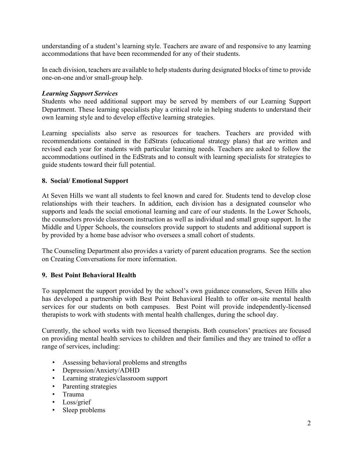understanding of a student's learning style. Teachers are aware of and responsive to any learning accommodations that have been recommended for any of their students.

In each division, teachers are available to help students during designated blocks of time to provide one-on-one and/or small-group help.

#### *Learning Support Services*

Students who need additional support may be served by members of our Learning Support Department. These learning specialists play a critical role in helping students to understand their own learning style and to develop effective learning strategies.

Learning specialists also serve as resources for teachers. Teachers are provided with recommendations contained in the EdStrats (educational strategy plans) that are written and revised each year for students with particular learning needs. Teachers are asked to follow the accommodations outlined in the EdStrats and to consult with learning specialists for strategies to guide students toward their full potential.

#### **8. Social/ Emotional Support**

At Seven Hills we want all students to feel known and cared for. Students tend to develop close relationships with their teachers. In addition, each division has a designated counselor who supports and leads the social emotional learning and care of our students. In the Lower Schools, the counselors provide classroom instruction as well as individual and small group support. In the Middle and Upper Schools, the counselors provide support to students and additional support is by provided by a home base advisor who oversees a small cohort of students.

The Counseling Department also provides a variety of parent education programs. See the section on Creating Conversations for more information.

#### **9. Best Point Behavioral Health**

To supplement the support provided by the school's own guidance counselors, Seven Hills also has developed a partnership with Best Point Behavioral Health to offer on-site mental health services for our students on both campuses. Best Point will provide independently-licensed therapists to work with students with mental health challenges, during the school day.

Currently, the school works with two licensed therapists. Both counselors' practices are focused on providing mental health services to children and their families and they are trained to offer a range of services, including:

- Assessing behavioral problems and strengths
- Depression/Anxiety/ADHD
- Learning strategies/classroom support
- Parenting strategies
- Trauma
- Loss/grief
- Sleep problems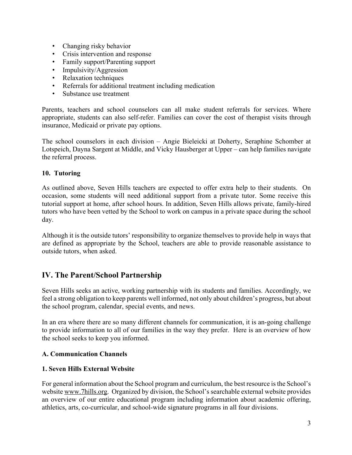- Changing risky behavior
- Crisis intervention and response
- Family support/Parenting support
- Impulsivity/Aggression
- Relaxation techniques
- Referrals for additional treatment including medication
- Substance use treatment

Parents, teachers and school counselors can all make student referrals for services. Where appropriate, students can also self-refer. Families can cover the cost of therapist visits through insurance, Medicaid or private pay options.

The school counselors in each division – Angie Bieleicki at Doherty, Seraphine Schomber at Lotspeich, Dayna Sargent at Middle, and Vicky Hausberger at Upper – can help families navigate the referral process.

#### **10. Tutoring**

As outlined above, Seven Hills teachers are expected to offer extra help to their students. On occasion, some students will need additional support from a private tutor. Some receive this tutorial support at home, after school hours. In addition, Seven Hills allows private, family-hired tutors who have been vetted by the School to work on campus in a private space during the school day.

Although it is the outside tutors' responsibility to organize themselves to provide help in ways that are defined as appropriate by the School, teachers are able to provide reasonable assistance to outside tutors, when asked.

## **IV. The Parent/School Partnership**

Seven Hills seeks an active, working partnership with its students and families. Accordingly, we feel a strong obligation to keep parents well informed, not only about children's progress, but about the school program, calendar, special events, and news.

In an era where there are so many different channels for communication, it is an-going challenge to provide information to all of our families in the way they prefer. Here is an overview of how the school seeks to keep you informed.

#### **A. Communication Channels**

#### **1. Seven Hills External Website**

For general information about the School program and curriculum, the best resource is the School's website www.7hills.org. Organized by division, the School's searchable external website provides an overview of our entire educational program including information about academic offering, athletics, arts, co-curricular, and school-wide signature programs in all four divisions.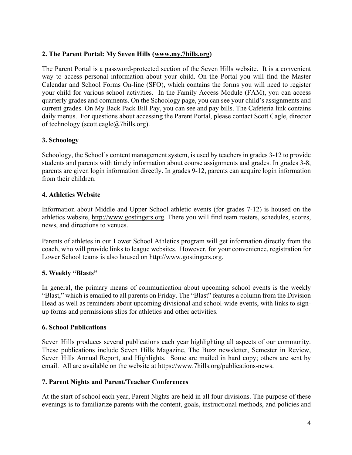#### **2. The Parent Portal: My Seven Hills (www.my.7hills.org)**

The Parent Portal is a password-protected section of the Seven Hills website. It is a convenient way to access personal information about your child. On the Portal you will find the Master Calendar and School Forms On-line (SFO), which contains the forms you will need to register your child for various school activities. In the Family Access Module (FAM), you can access quarterly grades and comments. On the Schoology page, you can see your child's assignments and current grades. On My Back Pack Bill Pay, you can see and pay bills. The Cafeteria link contains daily menus. For questions about accessing the Parent Portal, please contact Scott Cagle, director of technology (scott.cagle@7hills.org).

## **3. Schoology**

Schoology, the School's content management system, is used by teachers in grades 3-12 to provide students and parents with timely information about course assignments and grades. In grades 3-8, parents are given login information directly. In grades 9-12, parents can acquire login information from their children.

## **4. Athletics Website**

Information about Middle and Upper School athletic events (for grades 7-12) is housed on the athletics website, http://www.gostingers.org. There you will find team rosters, schedules, scores, news, and directions to venues.

Parents of athletes in our Lower School Athletics program will get information directly from the coach, who will provide links to league websites. However, for your convenience, registration for Lower School teams is also housed on http://www.gostingers.org.

## **5. Weekly "Blasts"**

In general, the primary means of communication about upcoming school events is the weekly "Blast," which is emailed to all parents on Friday. The "Blast" features a column from the Division Head as well as reminders about upcoming divisional and school-wide events, with links to signup forms and permissions slips for athletics and other activities.

#### **6. School Publications**

Seven Hills produces several publications each year highlighting all aspects of our community. These publications include Seven Hills Magazine, The Buzz newsletter, Semester in Review, Seven Hills Annual Report, and Highlights. Some are mailed in hard copy; others are sent by email. All are available on the website at https://www.7hills.org/publications-news.

#### **7. Parent Nights and Parent/Teacher Conferences**

At the start of school each year, Parent Nights are held in all four divisions. The purpose of these evenings is to familiarize parents with the content, goals, instructional methods, and policies and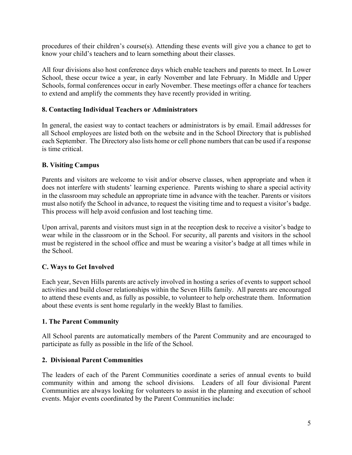procedures of their children's course(s). Attending these events will give you a chance to get to know your child's teachers and to learn something about their classes.

All four divisions also host conference days which enable teachers and parents to meet. In Lower School, these occur twice a year, in early November and late February. In Middle and Upper Schools, formal conferences occur in early November. These meetings offer a chance for teachers to extend and amplify the comments they have recently provided in writing.

#### **8. Contacting Individual Teachers or Administrators**

In general, the easiest way to contact teachers or administrators is by email. Email addresses for all School employees are listed both on the website and in the School Directory that is published each September. The Directory also lists home or cell phone numbers that can be used if a response is time critical.

#### **B. Visiting Campus**

Parents and visitors are welcome to visit and/or observe classes, when appropriate and when it does not interfere with students' learning experience. Parents wishing to share a special activity in the classroom may schedule an appropriate time in advance with the teacher. Parents or visitors must also notify the School in advance, to request the visiting time and to request a visitor's badge. This process will help avoid confusion and lost teaching time.

Upon arrival, parents and visitors must sign in at the reception desk to receive a visitor's badge to wear while in the classroom or in the School. For security, all parents and visitors in the school must be registered in the school office and must be wearing a visitor's badge at all times while in the School.

#### **C. Ways to Get Involved**

Each year, Seven Hills parents are actively involved in hosting a series of events to support school activities and build closer relationships within the Seven Hills family. All parents are encouraged to attend these events and, as fully as possible, to volunteer to help orchestrate them. Information about these events is sent home regularly in the weekly Blast to families.

#### **1. The Parent Community**

All School parents are automatically members of the Parent Community and are encouraged to participate as fully as possible in the life of the School.

#### **2. Divisional Parent Communities**

The leaders of each of the Parent Communities coordinate a series of annual events to build community within and among the school divisions. Leaders of all four divisional Parent Communities are always looking for volunteers to assist in the planning and execution of school events. Major events coordinated by the Parent Communities include: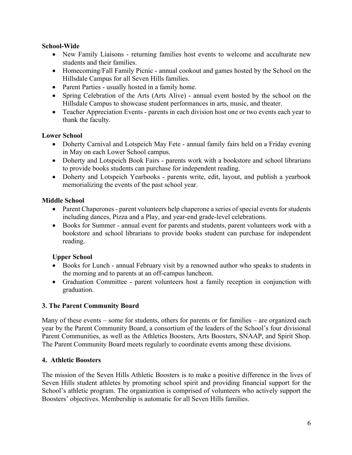#### **School-Wide**

- New Family Liaisons returning families host events to welcome and acculturate new students and their families.
- Homecoming/Fall Family Picnic annual cookout and games hosted by the School on the Hillsdale Campus for all Seven Hills families.
- Parent Parties usually hosted in a family home.
- Spring Celebration of the Arts (Arts Alive) annual event hosted by the school on the Hillsdale Campus to showcase student performances in arts, music, and theater.
- Teacher Appreciation Events parents in each division host one or two events each year to thank the faculty.

## **Lower School**

- Doherty Carnival and Lotspeich May Fete annual family fairs held on a Friday evening in May on each Lower School campus.
- Doherty and Lotspeich Book Fairs parents work with a bookstore and school librarians to provide books students can purchase for independent reading.
- Doherty and Lotspeich Yearbooks parents write, edit, layout, and publish a yearbook memorializing the events of the past school year.

## **Middle School**

- Parent Chaperones parent volunteers help chaperone a series of special events for students including dances, Pizza and a Play, and year-end grade-level celebrations.
- Books for Summer annual event for parents and students, parent volunteers work with a bookstore and school librarians to provide books student can purchase for independent reading.

## **Upper School**

- Books for Lunch annual February visit by a renowned author who speaks to students in the morning and to parents at an off-campus luncheon.
- Graduation Committee parent volunteers host a family reception in conjunction with graduation.

## **3. The Parent Community Board**

Many of these events – some for students, others for parents or for families – are organized each year by the Parent Community Board, a consortium of the leaders of the School's four divisional Parent Communities, as well as the Athletics Boosters, Arts Boosters, SNAAP, and Spirit Shop. The Parent Community Board meets regularly to coordinate events among these divisions.

## **4. Athletic Boosters**

The mission of the Seven Hills Athletic Boosters is to make a positive difference in the lives of Seven Hills student athletes by promoting school spirit and providing financial support for the School's athletic program. The organization is comprised of volunteers who actively support the Boosters' objectives. Membership is automatic for all Seven Hills families.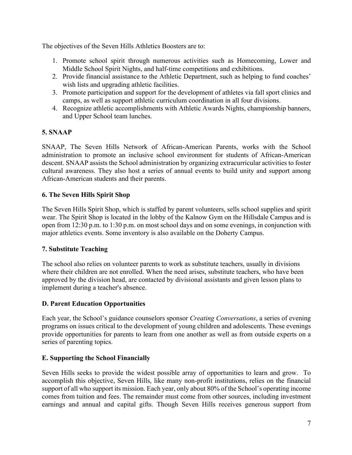The objectives of the Seven Hills Athletics Boosters are to:

- 1. Promote school spirit through numerous activities such as Homecoming, Lower and Middle School Spirit Nights, and half-time competitions and exhibitions.
- 2. Provide financial assistance to the Athletic Department, such as helping to fund coaches' wish lists and upgrading athletic facilities.
- 3. Promote participation and support for the development of athletes via fall sport clinics and camps, as well as support athletic curriculum coordination in all four divisions.
- 4. Recognize athletic accomplishments with Athletic Awards Nights, championship banners, and Upper School team lunches.

## **5. SNAAP**

SNAAP, The Seven Hills Network of African-American Parents, works with the School administration to promote an inclusive school environment for students of African-American descent. SNAAP assists the School administration by organizing extracurricular activities to foster cultural awareness. They also host a series of annual events to build unity and support among African-American students and their parents.

## **6. The Seven Hills Spirit Shop**

The Seven Hills Spirit Shop, which is staffed by parent volunteers, sells school supplies and spirit wear. The Spirit Shop is located in the lobby of the Kalnow Gym on the Hillsdale Campus and is open from 12:30 p.m. to 1:30 p.m. on most school days and on some evenings, in conjunction with major athletics events. Some inventory is also available on the Doherty Campus.

## **7. Substitute Teaching**

The school also relies on volunteer parents to work as substitute teachers, usually in divisions where their children are not enrolled. When the need arises, substitute teachers, who have been approved by the division head, are contacted by divisional assistants and given lesson plans to implement during a teacher's absence.

## **D. Parent Education Opportunities**

Each year, the School's guidance counselors sponsor *Creating Conversations*, a series of evening programs on issues critical to the development of young children and adolescents. These evenings provide opportunities for parents to learn from one another as well as from outside experts on a series of parenting topics.

## **E. Supporting the School Financially**

Seven Hills seeks to provide the widest possible array of opportunities to learn and grow. To accomplish this objective, Seven Hills, like many non-profit institutions, relies on the financial support of all who support its mission. Each year, only about 80% of the School's operating income comes from tuition and fees. The remainder must come from other sources, including investment earnings and annual and capital gifts. Though Seven Hills receives generous support from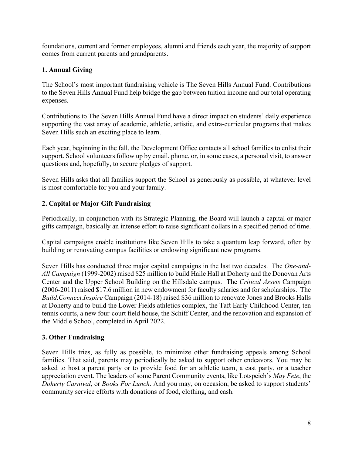foundations, current and former employees, alumni and friends each year, the majority of support comes from current parents and grandparents.

## **1. Annual Giving**

The School's most important fundraising vehicle is The Seven Hills Annual Fund. Contributions to the Seven Hills Annual Fund help bridge the gap between tuition income and our total operating expenses.

Contributions to The Seven Hills Annual Fund have a direct impact on students' daily experience supporting the vast array of academic, athletic, artistic, and extra-curricular programs that makes Seven Hills such an exciting place to learn.

Each year, beginning in the fall, the Development Office contacts all school families to enlist their support. School volunteers follow up by email, phone, or, in some cases, a personal visit, to answer questions and, hopefully, to secure pledges of support.

Seven Hills asks that all families support the School as generously as possible, at whatever level is most comfortable for you and your family.

## **2. Capital or Major Gift Fundraising**

Periodically, in conjunction with its Strategic Planning, the Board will launch a capital or major gifts campaign, basically an intense effort to raise significant dollars in a specified period of time.

Capital campaigns enable institutions like Seven Hills to take a quantum leap forward, often by building or renovating campus facilities or endowing significant new programs.

Seven Hills has conducted three major capital campaigns in the last two decades. The *One-and-All Campaign* (1999-2002) raised \$25 million to build Haile Hall at Doherty and the Donovan Arts Center and the Upper School Building on the Hillsdale campus. The *Critical Assets* Campaign (2006-2011) raised \$17.6 million in new endowment for faculty salaries and for scholarships. The *Build.Connect.Inspire* Campaign (2014-18) raised \$36 million to renovate Jones and Brooks Halls at Doherty and to build the Lower Fields athletics complex, the Taft Early Childhood Center, ten tennis courts, a new four-court field house, the Schiff Center, and the renovation and expansion of the Middle School, completed in April 2022.

#### **3. Other Fundraising**

Seven Hills tries, as fully as possible, to minimize other fundraising appeals among School families. That said, parents may periodically be asked to support other endeavors. You may be asked to host a parent party or to provide food for an athletic team, a cast party, or a teacher appreciation event. The leaders of some Parent Community events, like Lotspeich's *May Fete*, the *Doherty Carnival*, or *Books For Lunch*. And you may, on occasion, be asked to support students' community service efforts with donations of food, clothing, and cash.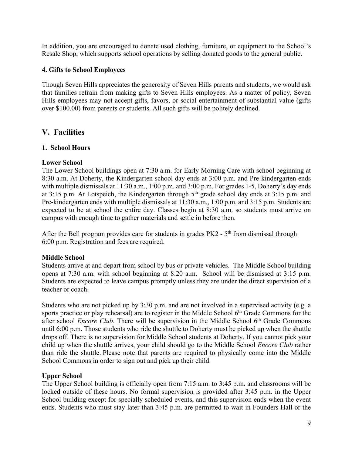In addition, you are encouraged to donate used clothing, furniture, or equipment to the School's Resale Shop, which supports school operations by selling donated goods to the general public.

#### **4. Gifts to School Employees**

Though Seven Hills appreciates the generosity of Seven Hills parents and students, we would ask that families refrain from making gifts to Seven Hills employees. As a matter of policy, Seven Hills employees may not accept gifts, favors, or social entertainment of substantial value (gifts over \$100.00) from parents or students. All such gifts will be politely declined.

## **V. Facilities**

#### **1. School Hours**

#### **Lower School**

The Lower School buildings open at 7:30 a.m. for Early Morning Care with school beginning at 8:30 a.m. At Doherty, the Kindergarten school day ends at 3:00 p.m. and Pre-kindergarten ends with multiple dismissals at 11:30 a.m., 1:00 p.m. and 3:00 p.m. For grades 1-5, Doherty's day ends at 3:15 p.m. At Lotspeich, the Kindergarten through  $5<sup>th</sup>$  grade school day ends at 3:15 p.m. and Pre-kindergarten ends with multiple dismissals at 11:30 a.m., 1:00 p.m. and 3:15 p.m. Students are expected to be at school the entire day. Classes begin at 8:30 a.m. so students must arrive on campus with enough time to gather materials and settle in before then.

After the Bell program provides care for students in grades PK2 - 5<sup>th</sup> from dismissal through 6:00 p.m. Registration and fees are required.

#### **Middle School**

Students arrive at and depart from school by bus or private vehicles. The Middle School building opens at 7:30 a.m. with school beginning at 8:20 a.m. School will be dismissed at 3:15 p.m. Students are expected to leave campus promptly unless they are under the direct supervision of a teacher or coach.

Students who are not picked up by 3:30 p.m. and are not involved in a supervised activity (e.g. a sports practice or play rehearsal) are to register in the Middle School  $6<sup>th</sup>$  Grade Commons for the after school *Encore Club*. There will be supervision in the Middle School 6<sup>th</sup> Grade Commons until 6:00 p.m. Those students who ride the shuttle to Doherty must be picked up when the shuttle drops off. There is no supervision for Middle School students at Doherty. If you cannot pick your child up when the shuttle arrives, your child should go to the Middle School *Encore Club* rather than ride the shuttle. Please note that parents are required to physically come into the Middle School Commons in order to sign out and pick up their child.

#### **Upper School**

The Upper School building is officially open from 7:15 a.m. to 3:45 p.m. and classrooms will be locked outside of these hours. No formal supervision is provided after 3:45 p.m. in the Upper School building except for specially scheduled events, and this supervision ends when the event ends. Students who must stay later than 3:45 p.m. are permitted to wait in Founders Hall or the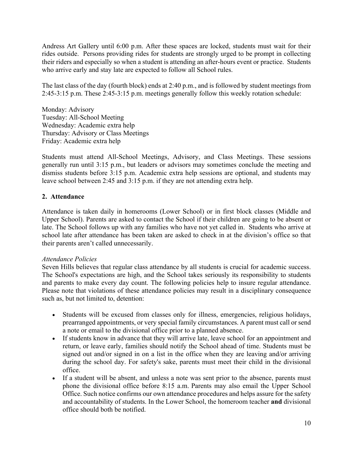Andress Art Gallery until 6:00 p.m. After these spaces are locked, students must wait for their rides outside. Persons providing rides for students are strongly urged to be prompt in collecting their riders and especially so when a student is attending an after-hours event or practice. Students who arrive early and stay late are expected to follow all School rules.

The last class of the day (fourth block) ends at 2:40 p.m., and is followed by student meetings from 2:45-3:15 p.m. These 2:45-3:15 p.m. meetings generally follow this weekly rotation schedule:

Monday: Advisory Tuesday: All-School Meeting Wednesday: Academic extra help Thursday: Advisory or Class Meetings Friday: Academic extra help

Students must attend All-School Meetings, Advisory, and Class Meetings. These sessions generally run until 3:15 p.m., but leaders or advisors may sometimes conclude the meeting and dismiss students before 3:15 p.m. Academic extra help sessions are optional, and students may leave school between 2:45 and 3:15 p.m. if they are not attending extra help.

#### **2. Attendance**

Attendance is taken daily in homerooms (Lower School) or in first block classes (Middle and Upper School). Parents are asked to contact the School if their children are going to be absent or late. The School follows up with any families who have not yet called in. Students who arrive at school late after attendance has been taken are asked to check in at the division's office so that their parents aren't called unnecessarily.

#### *Attendance Policies*

Seven Hills believes that regular class attendance by all students is crucial for academic success. The School's expectations are high, and the School takes seriously its responsibility to students and parents to make every day count. The following policies help to insure regular attendance. Please note that violations of these attendance policies may result in a disciplinary consequence such as, but not limited to, detention:

- Students will be excused from classes only for illness, emergencies, religious holidays, prearranged appointments, or very special family circumstances. A parent must call or send a note or email to the divisional office prior to a planned absence.
- If students know in advance that they will arrive late, leave school for an appointment and return, or leave early, families should notify the School ahead of time. Students must be signed out and/or signed in on a list in the office when they are leaving and/or arriving during the school day. For safety's sake, parents must meet their child in the divisional office.
- If a student will be absent, and unless a note was sent prior to the absence, parents must phone the divisional office before 8:15 a.m. Parents may also email the Upper School Office. Such notice confirms our own attendance procedures and helps assure for the safety and accountability of students. In the Lower School, the homeroom teacher **and** divisional office should both be notified.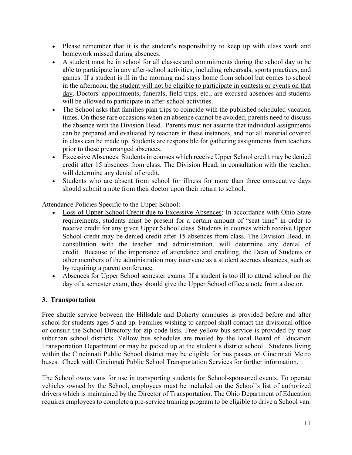- Please remember that it is the student's responsibility to keep up with class work and homework missed during absences.
- A student must be in school for all classes and commitments during the school day to be able to participate in any after-school activities, including rehearsals, sports practices, and games. If a student is ill in the morning and stays home from school but comes to school in the afternoon, the student will not be eligible to participate in contests or events on that day. Doctors' appointments, funerals, field trips, etc., are excused absences and students will be allowed to participate in after-school activities.
- The School asks that families plan trips to coincide with the published scheduled vacation times. On those rare occasions when an absence cannot be avoided, parents need to discuss the absence with the Division Head. Parents must not assume that individual assignments can be prepared and evaluated by teachers in these instances, and not all material covered in class can be made up. Students are responsible for gathering assignments from teachers prior to these prearranged absences.
- Excessive Absences: Students in courses which receive Upper School credit may be denied credit after 15 absences from class. The Division Head, in consultation with the teacher, will determine any denial of credit.
- Students who are absent from school for illness for more than three consecutive days should submit a note from their doctor upon their return to school.

Attendance Policies Specific to the Upper School:

- Loss of Upper School Credit due to Excessive Absences: In accordance with Ohio State requirements, students must be present for a certain amount of "seat time" in order to receive credit for any given Upper School class. Students in courses which receive Upper School credit may be denied credit after 15 absences from class. The Division Head, in consultation with the teacher and administration, will determine any denial of credit. Because of the importance of attendance and crediting, the Dean of Students or other members of the administration may intervene as a student accrues absences, such as by requiring a parent conference.
- Absences for Upper School semester exams: If a student is too ill to attend school on the day of a semester exam, they should give the Upper School office a note from a doctor.

## **3. Transportation**

Free shuttle service between the Hillsdale and Doherty campuses is provided before and after school for students ages 5 and up. Families wishing to carpool shall contact the divisional office or consult the School Directory for zip code lists. Free yellow bus service is provided by most suburban school districts. Yellow bus schedules are mailed by the local Board of Education Transportation Department or may be picked up at the student's district school. Students living within the Cincinnati Public School district may be eligible for bus passes on Cincinnati Metro buses. Check with Cincinnati Public School Transportation Services for further information.

The School owns vans for use in transporting students for School-sponsored events. To operate vehicles owned by the School, employees must be included on the School's list of authorized drivers which is maintained by the Director of Transportation. The Ohio Department of Education requires employees to complete a pre-service training program to be eligible to drive a School van.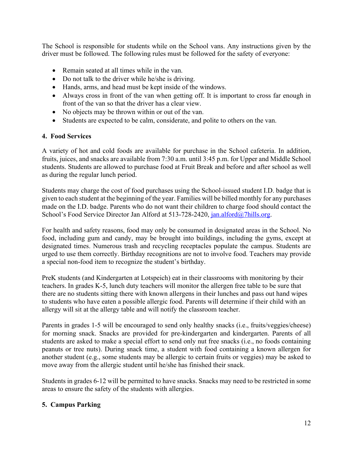The School is responsible for students while on the School vans. Any instructions given by the driver must be followed. The following rules must be followed for the safety of everyone:

- Remain seated at all times while in the van.
- Do not talk to the driver while he/she is driving.
- Hands, arms, and head must be kept inside of the windows.
- Always cross in front of the van when getting off. It is important to cross far enough in front of the van so that the driver has a clear view.
- No objects may be thrown within or out of the van.
- Students are expected to be calm, considerate, and polite to others on the van.

#### **4. Food Services**

A variety of hot and cold foods are available for purchase in the School cafeteria. In addition, fruits, juices, and snacks are available from 7:30 a.m. until 3:45 p.m. for Upper and Middle School students. Students are allowed to purchase food at Fruit Break and before and after school as well as during the regular lunch period.

Students may charge the cost of food purchases using the School-issued student I.D. badge that is given to each student at the beginning of the year. Families will be billed monthly for any purchases made on the I.D. badge. Parents who do not want their children to charge food should contact the School's Food Service Director Jan Alford at 513-728-2420, jan.alford@7hills.org.

For health and safety reasons, food may only be consumed in designated areas in the School. No food, including gum and candy, may be brought into buildings, including the gyms, except at designated times. Numerous trash and recycling receptacles populate the campus. Students are urged to use them correctly. Birthday recognitions are not to involve food. Teachers may provide a special non-food item to recognize the student's birthday.

PreK students (and Kindergarten at Lotspeich) eat in their classrooms with monitoring by their teachers. In grades K-5, lunch duty teachers will monitor the allergen free table to be sure that there are no students sitting there with known allergens in their lunches and pass out hand wipes to students who have eaten a possible allergic food. Parents will determine if their child with an allergy will sit at the allergy table and will notify the classroom teacher.

Parents in grades 1-5 will be encouraged to send only healthy snacks (i.e., fruits/veggies/cheese) for morning snack. Snacks are provided for pre-kindergarten and kindergarten. Parents of all students are asked to make a special effort to send only nut free snacks (i.e., no foods containing peanuts or tree nuts). During snack time, a student with food containing a known allergen for another student (e.g., some students may be allergic to certain fruits or veggies) may be asked to move away from the allergic student until he/she has finished their snack.

Students in grades 6-12 will be permitted to have snacks. Snacks may need to be restricted in some areas to ensure the safety of the students with allergies.

#### **5. Campus Parking**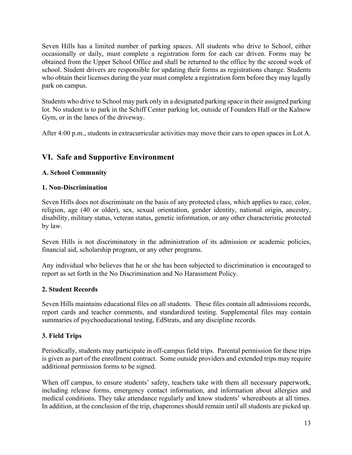Seven Hills has a limited number of parking spaces. All students who drive to School, either occasionally or daily, must complete a registration form for each car driven. Forms may be obtained from the Upper School Office and shall be returned to the office by the second week of school. Student drivers are responsible for updating their forms as registrations change. Students who obtain their licenses during the year must complete a registration form before they may legally park on campus.

Students who drive to School may park only in a designated parking space in their assigned parking lot. No student is to park in the Schiff Center parking lot, outside of Founders Hall or the Kalnow Gym, or in the lanes of the driveway.

After 4:00 p.m., students in extracurricular activities may move their cars to open spaces in Lot A.

## **VI. Safe and Supportive Environment**

## **A. School Community**

#### **1. Non-Discrimination**

Seven Hills does not discriminate on the basis of any protected class, which applies to race, color, religion, age (40 or older), sex, sexual orientation, gender identity, national origin, ancestry, disability, military status, veteran status, genetic information, or any other characteristic protected by law.

Seven Hills is not discriminatory in the administration of its admission or academic policies, financial aid, scholarship program, or any other programs.

Any individual who believes that he or she has been subjected to discrimination is encouraged to report as set forth in the No Discrimination and No Harassment Policy.

#### **2. Student Records**

Seven Hills maintains educational files on all students. These files contain all admissions records, report cards and teacher comments, and standardized testing. Supplemental files may contain summaries of psychoeducational testing, EdStrats, and any discipline records.

## **3. Field Trips**

Periodically, students may participate in off-campus field trips. Parental permission for these trips is given as part of the enrollment contract. Some outside providers and extended trips may require additional permission forms to be signed.

When off campus, to ensure students' safety, teachers take with them all necessary paperwork, including release forms, emergency contact information, and information about allergies and medical conditions. They take attendance regularly and know students' whereabouts at all times. In addition, at the conclusion of the trip, chaperones should remain until all students are picked up.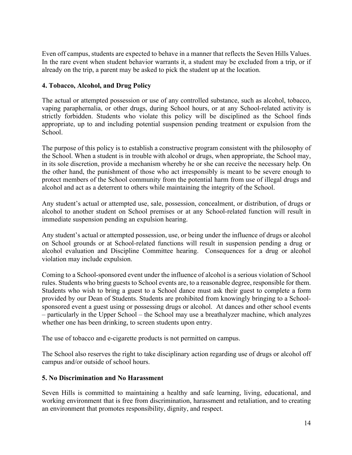Even off campus, students are expected to behave in a manner that reflects the Seven Hills Values. In the rare event when student behavior warrants it, a student may be excluded from a trip, or if already on the trip, a parent may be asked to pick the student up at the location.

## **4. Tobacco, Alcohol, and Drug Policy**

The actual or attempted possession or use of any controlled substance, such as alcohol, tobacco, vaping paraphernalia, or other drugs, during School hours, or at any School-related activity is strictly forbidden. Students who violate this policy will be disciplined as the School finds appropriate, up to and including potential suspension pending treatment or expulsion from the School.

The purpose of this policy is to establish a constructive program consistent with the philosophy of the School. When a student is in trouble with alcohol or drugs, when appropriate, the School may, in its sole discretion, provide a mechanism whereby he or she can receive the necessary help. On the other hand, the punishment of those who act irresponsibly is meant to be severe enough to protect members of the School community from the potential harm from use of illegal drugs and alcohol and act as a deterrent to others while maintaining the integrity of the School.

Any student's actual or attempted use, sale, possession, concealment, or distribution, of drugs or alcohol to another student on School premises or at any School-related function will result in immediate suspension pending an expulsion hearing.

Any student's actual or attempted possession, use, or being under the influence of drugs or alcohol on School grounds or at School-related functions will result in suspension pending a drug or alcohol evaluation and Discipline Committee hearing. Consequences for a drug or alcohol violation may include expulsion.

Coming to a School-sponsored event under the influence of alcohol is a serious violation of School rules. Students who bring guests to School events are, to a reasonable degree, responsible for them. Students who wish to bring a guest to a School dance must ask their guest to complete a form provided by our Dean of Students. Students are prohibited from knowingly bringing to a Schoolsponsored event a guest using or possessing drugs or alcohol. At dances and other school events – particularly in the Upper School – the School may use a breathalyzer machine, which analyzes whether one has been drinking, to screen students upon entry.

The use of tobacco and e-cigarette products is not permitted on campus.

The School also reserves the right to take disciplinary action regarding use of drugs or alcohol off campus and/or outside of school hours.

#### **5. No Discrimination and No Harassment**

Seven Hills is committed to maintaining a healthy and safe learning, living, educational, and working environment that is free from discrimination, harassment and retaliation, and to creating an environment that promotes responsibility, dignity, and respect.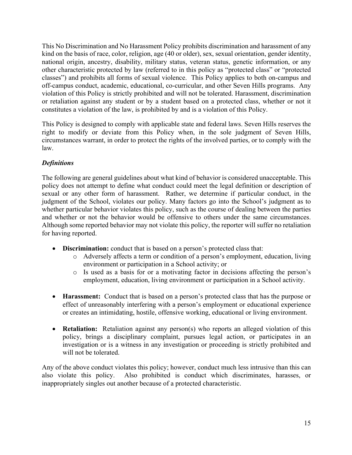This No Discrimination and No Harassment Policy prohibits discrimination and harassment of any kind on the basis of race, color, religion, age (40 or older), sex, sexual orientation, gender identity, national origin, ancestry, disability, military status, veteran status, genetic information, or any other characteristic protected by law (referred to in this policy as "protected class" or "protected classes") and prohibits all forms of sexual violence. This Policy applies to both on-campus and off-campus conduct, academic, educational, co-curricular, and other Seven Hills programs. Any violation of this Policy is strictly prohibited and will not be tolerated. Harassment, discrimination or retaliation against any student or by a student based on a protected class, whether or not it constitutes a violation of the law, is prohibited by and is a violation of this Policy.

This Policy is designed to comply with applicable state and federal laws. Seven Hills reserves the right to modify or deviate from this Policy when, in the sole judgment of Seven Hills, circumstances warrant, in order to protect the rights of the involved parties, or to comply with the law.

## *Definitions*

The following are general guidelines about what kind of behavior is considered unacceptable. This policy does not attempt to define what conduct could meet the legal definition or description of sexual or any other form of harassment. Rather, we determine if particular conduct, in the judgment of the School, violates our policy. Many factors go into the School's judgment as to whether particular behavior violates this policy, such as the course of dealing between the parties and whether or not the behavior would be offensive to others under the same circumstances. Although some reported behavior may not violate this policy, the reporter will suffer no retaliation for having reported.

- **Discrimination:** conduct that is based on a person's protected class that:
	- o Adversely affects a term or condition of a person's employment, education, living environment or participation in a School activity; or
	- o Is used as a basis for or a motivating factor in decisions affecting the person's employment, education, living environment or participation in a School activity.
- **Harassment:** Conduct that is based on a person's protected class that has the purpose or effect of unreasonably interfering with a person's employment or educational experience or creates an intimidating, hostile, offensive working, educational or living environment.
- **Retaliation:** Retaliation against any person(s) who reports an alleged violation of this policy, brings a disciplinary complaint, pursues legal action, or participates in an investigation or is a witness in any investigation or proceeding is strictly prohibited and will not be tolerated.

Any of the above conduct violates this policy; however, conduct much less intrusive than this can also violate this policy. Also prohibited is conduct which discriminates, harasses, or inappropriately singles out another because of a protected characteristic.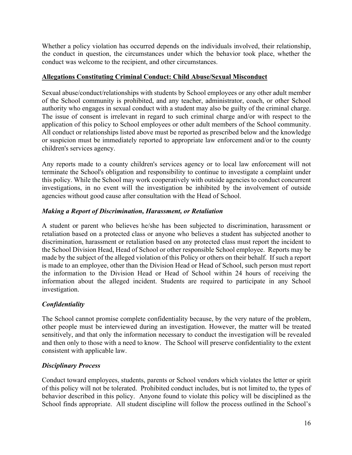Whether a policy violation has occurred depends on the individuals involved, their relationship, the conduct in question, the circumstances under which the behavior took place, whether the conduct was welcome to the recipient, and other circumstances.

#### **Allegations Constituting Criminal Conduct: Child Abuse/Sexual Misconduct**

Sexual abuse/conduct/relationships with students by School employees or any other adult member of the School community is prohibited, and any teacher, administrator, coach, or other School authority who engages in sexual conduct with a student may also be guilty of the criminal charge. The issue of consent is irrelevant in regard to such criminal charge and/or with respect to the application of this policy to School employees or other adult members of the School community. All conduct or relationships listed above must be reported as prescribed below and the knowledge or suspicion must be immediately reported to appropriate law enforcement and/or to the county children's services agency.

Any reports made to a county children's services agency or to local law enforcement will not terminate the School's obligation and responsibility to continue to investigate a complaint under this policy. While the School may work cooperatively with outside agencies to conduct concurrent investigations, in no event will the investigation be inhibited by the involvement of outside agencies without good cause after consultation with the Head of School.

#### *Making a Report of Discrimination, Harassment, or Retaliation*

A student or parent who believes he/she has been subjected to discrimination, harassment or retaliation based on a protected class or anyone who believes a student has subjected another to discrimination, harassment or retaliation based on any protected class must report the incident to the School Division Head, Head of School or other responsible School employee. Reports may be made by the subject of the alleged violation of this Policy or others on their behalf. If such a report is made to an employee, other than the Division Head or Head of School, such person must report the information to the Division Head or Head of School within 24 hours of receiving the information about the alleged incident. Students are required to participate in any School investigation.

#### *Confidentiality*

The School cannot promise complete confidentiality because, by the very nature of the problem, other people must be interviewed during an investigation. However, the matter will be treated sensitively, and that only the information necessary to conduct the investigation will be revealed and then only to those with a need to know. The School will preserve confidentiality to the extent consistent with applicable law.

#### *Disciplinary Process*

Conduct toward employees, students, parents or School vendors which violates the letter or spirit of this policy will not be tolerated. Prohibited conduct includes, but is not limited to, the types of behavior described in this policy. Anyone found to violate this policy will be disciplined as the School finds appropriate. All student discipline will follow the process outlined in the School's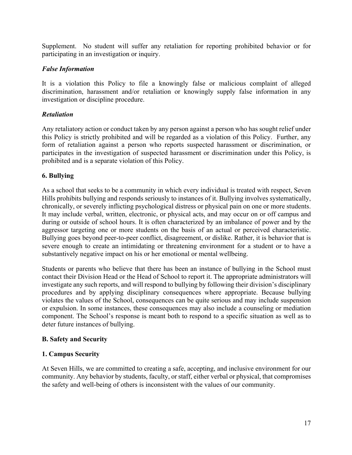Supplement. No student will suffer any retaliation for reporting prohibited behavior or for participating in an investigation or inquiry.

#### *False Information*

It is a violation this Policy to file a knowingly false or malicious complaint of alleged discrimination, harassment and/or retaliation or knowingly supply false information in any investigation or discipline procedure.

## *Retaliation*

Any retaliatory action or conduct taken by any person against a person who has sought relief under this Policy is strictly prohibited and will be regarded as a violation of this Policy. Further, any form of retaliation against a person who reports suspected harassment or discrimination, or participates in the investigation of suspected harassment or discrimination under this Policy, is prohibited and is a separate violation of this Policy.

## **6. Bullying**

As a school that seeks to be a community in which every individual is treated with respect, Seven Hills prohibits bullying and responds seriously to instances of it. Bullying involves systematically, chronically, or severely inflicting psychological distress or physical pain on one or more students. It may include verbal, written, electronic, or physical acts, and may occur on or off campus and during or outside of school hours. It is often characterized by an imbalance of power and by the aggressor targeting one or more students on the basis of an actual or perceived characteristic. Bullying goes beyond peer-to-peer conflict, disagreement, or dislike. Rather, it is behavior that is severe enough to create an intimidating or threatening environment for a student or to have a substantively negative impact on his or her emotional or mental wellbeing.

Students or parents who believe that there has been an instance of bullying in the School must contact their Division Head or the Head of School to report it. The appropriate administrators will investigate any such reports, and will respond to bullying by following their division's disciplinary procedures and by applying disciplinary consequences where appropriate. Because bullying violates the values of the School, consequences can be quite serious and may include suspension or expulsion. In some instances, these consequences may also include a counseling or mediation component. The School's response is meant both to respond to a specific situation as well as to deter future instances of bullying.

#### **B. Safety and Security**

## **1. Campus Security**

At Seven Hills, we are committed to creating a safe, accepting, and inclusive environment for our community. Any behavior by students, faculty, or staff, either verbal or physical, that compromises the safety and well-being of others is inconsistent with the values of our community.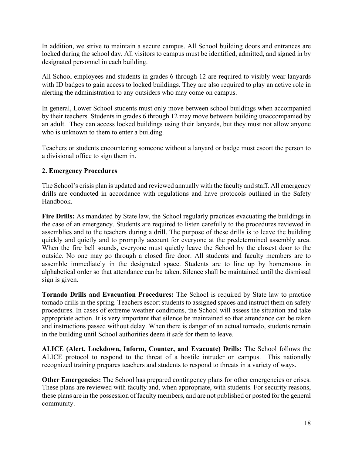In addition, we strive to maintain a secure campus. All School building doors and entrances are locked during the school day. All visitors to campus must be identified, admitted, and signed in by designated personnel in each building.

All School employees and students in grades 6 through 12 are required to visibly wear lanyards with ID badges to gain access to locked buildings. They are also required to play an active role in alerting the administration to any outsiders who may come on campus.

In general, Lower School students must only move between school buildings when accompanied by their teachers. Students in grades 6 through 12 may move between building unaccompanied by an adult. They can access locked buildings using their lanyards, but they must not allow anyone who is unknown to them to enter a building.

Teachers or students encountering someone without a lanyard or badge must escort the person to a divisional office to sign them in.

#### **2. Emergency Procedures**

The School's crisis plan is updated and reviewed annually with the faculty and staff. All emergency drills are conducted in accordance with regulations and have protocols outlined in the Safety Handbook.

**Fire Drills:** As mandated by State law, the School regularly practices evacuating the buildings in the case of an emergency. Students are required to listen carefully to the procedures reviewed in assemblies and to the teachers during a drill. The purpose of these drills is to leave the building quickly and quietly and to promptly account for everyone at the predetermined assembly area. When the fire bell sounds, everyone must quietly leave the School by the closest door to the outside. No one may go through a closed fire door. All students and faculty members are to assemble immediately in the designated space. Students are to line up by homerooms in alphabetical order so that attendance can be taken. Silence shall be maintained until the dismissal sign is given.

**Tornado Drills and Evacuation Procedures:** The School is required by State law to practice tornado drills in the spring. Teachers escort students to assigned spaces and instruct them on safety procedures. In cases of extreme weather conditions, the School will assess the situation and take appropriate action. It is very important that silence be maintained so that attendance can be taken and instructions passed without delay. When there is danger of an actual tornado, students remain in the building until School authorities deem it safe for them to leave.

**ALICE (Alert, Lockdown, Inform, Counter, and Evacuate) Drills:** The School follows the ALICE protocol to respond to the threat of a hostile intruder on campus. This nationally recognized training prepares teachers and students to respond to threats in a variety of ways.

**Other Emergencies:** The School has prepared contingency plans for other emergencies or crises. These plans are reviewed with faculty and, when appropriate, with students. For security reasons, these plans are in the possession of faculty members, and are not published or posted for the general community.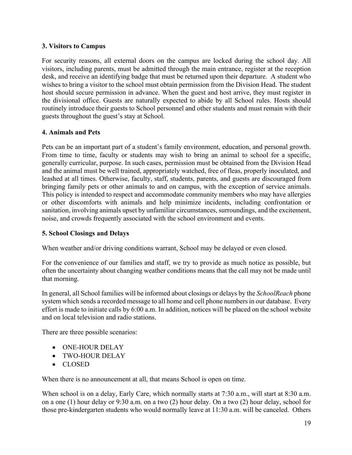#### **3. Visitors to Campus**

For security reasons, all external doors on the campus are locked during the school day. All visitors, including parents, must be admitted through the main entrance, register at the reception desk, and receive an identifying badge that must be returned upon their departure. A student who wishes to bring a visitor to the school must obtain permission from the Division Head. The student host should secure permission in advance. When the guest and host arrive, they must register in the divisional office. Guests are naturally expected to abide by all School rules. Hosts should routinely introduce their guests to School personnel and other students and must remain with their guests throughout the guest's stay at School.

## **4. Animals and Pets**

Pets can be an important part of a student's family environment, education, and personal growth. From time to time, faculty or students may wish to bring an animal to school for a specific, generally curricular, purpose. In such cases, permission must be obtained from the Division Head and the animal must be well trained, appropriately watched, free of fleas, properly inoculated, and leashed at all times. Otherwise, faculty, staff, students, parents, and guests are discouraged from bringing family pets or other animals to and on campus, with the exception of service animals. This policy is intended to respect and accommodate community members who may have allergies or other discomforts with animals and help minimize incidents, including confrontation or sanitation, involving animals upset by unfamiliar circumstances, surroundings, and the excitement, noise, and crowds frequently associated with the school environment and events.

#### **5. School Closings and Delays**

When weather and/or driving conditions warrant, School may be delayed or even closed.

For the convenience of our families and staff, we try to provide as much notice as possible, but often the uncertainty about changing weather conditions means that the call may not be made until that morning.

In general, all School families will be informed about closings or delays by the *SchoolReach* phone system which sends a recorded message to all home and cell phone numbers in our database. Every effort is made to initiate calls by 6:00 a.m. In addition, notices will be placed on the school website and on local television and radio stations.

There are three possible scenarios:

- ONE-HOUR DELAY
- TWO-HOUR DELAY
- CLOSED

When there is no announcement at all, that means School is open on time.

When school is on a delay, Early Care, which normally starts at 7:30 a.m., will start at 8:30 a.m. on a one (1) hour delay or 9:30 a.m. on a two (2) hour delay. On a two (2) hour delay, school for those pre-kindergarten students who would normally leave at 11:30 a.m. will be canceled. Others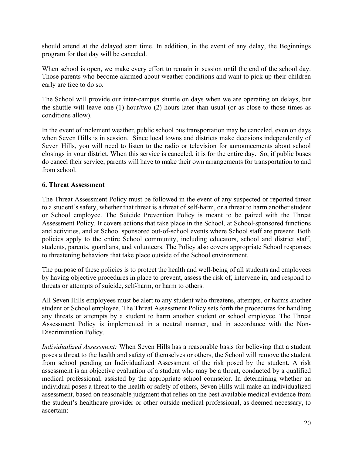should attend at the delayed start time. In addition, in the event of any delay, the Beginnings program for that day will be canceled.

When school is open, we make every effort to remain in session until the end of the school day. Those parents who become alarmed about weather conditions and want to pick up their children early are free to do so.

The School will provide our inter-campus shuttle on days when we are operating on delays, but the shuttle will leave one (1) hour/two (2) hours later than usual (or as close to those times as conditions allow).

In the event of inclement weather, public school bus transportation may be canceled, even on days when Seven Hills is in session. Since local towns and districts make decisions independently of Seven Hills, you will need to listen to the radio or television for announcements about school closings in your district. When this service is canceled, it is for the entire day. So, if public buses do cancel their service, parents will have to make their own arrangements for transportation to and from school.

#### **6. Threat Assessment**

The Threat Assessment Policy must be followed in the event of any suspected or reported threat to a student's safety, whether that threat is a threat of self-harm, or a threat to harm another student or School employee. The Suicide Prevention Policy is meant to be paired with the Threat Assessment Policy. It covers actions that take place in the School, at School-sponsored functions and activities, and at School sponsored out-of-school events where School staff are present. Both policies apply to the entire School community, including educators, school and district staff, students, parents, guardians, and volunteers. The Policy also covers appropriate School responses to threatening behaviors that take place outside of the School environment.

The purpose of these policies is to protect the health and well-being of all students and employees by having objective procedures in place to prevent, assess the risk of, intervene in, and respond to threats or attempts of suicide, self-harm, or harm to others.

All Seven Hills employees must be alert to any student who threatens, attempts, or harms another student or School employee. The Threat Assessment Policy sets forth the procedures for handling any threats or attempts by a student to harm another student or school employee. The Threat Assessment Policy is implemented in a neutral manner, and in accordance with the Non-Discrimination Policy.

*Individualized Assessment:* When Seven Hills has a reasonable basis for believing that a student poses a threat to the health and safety of themselves or others, the School will remove the student from school pending an Individualized Assessment of the risk posed by the student. A risk assessment is an objective evaluation of a student who may be a threat, conducted by a qualified medical professional, assisted by the appropriate school counselor. In determining whether an individual poses a threat to the health or safety of others, Seven Hills will make an individualized assessment, based on reasonable judgment that relies on the best available medical evidence from the student's healthcare provider or other outside medical professional, as deemed necessary, to ascertain: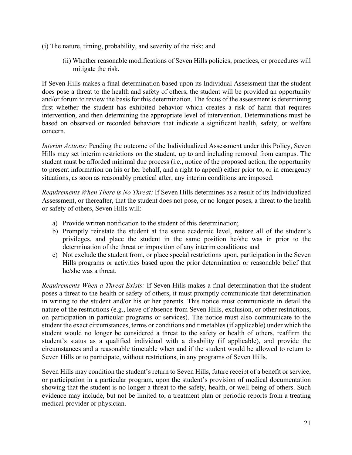- (i) The nature, timing, probability, and severity of the risk; and
	- (ii) Whether reasonable modifications of Seven Hills policies, practices, or procedures will mitigate the risk.

If Seven Hills makes a final determination based upon its Individual Assessment that the student does pose a threat to the health and safety of others, the student will be provided an opportunity and/or forum to review the basis for this determination. The focus of the assessment is determining first whether the student has exhibited behavior which creates a risk of harm that requires intervention, and then determining the appropriate level of intervention. Determinations must be based on observed or recorded behaviors that indicate a significant health, safety, or welfare concern.

*Interim Actions:* Pending the outcome of the Individualized Assessment under this Policy, Seven Hills may set interim restrictions on the student, up to and including removal from campus. The student must be afforded minimal due process (i.e., notice of the proposed action, the opportunity to present information on his or her behalf, and a right to appeal) either prior to, or in emergency situations, as soon as reasonably practical after, any interim conditions are imposed.

*Requirements When There is No Threat:* If Seven Hills determines as a result of its Individualized Assessment, or thereafter, that the student does not pose, or no longer poses, a threat to the health or safety of others, Seven Hills will:

- a) Provide written notification to the student of this determination;
- b) Promptly reinstate the student at the same academic level, restore all of the student's privileges, and place the student in the same position he/she was in prior to the determination of the threat or imposition of any interim conditions; and
- c) Not exclude the student from, or place special restrictions upon, participation in the Seven Hills programs or activities based upon the prior determination or reasonable belief that he/she was a threat.

*Requirements When a Threat Exists:* If Seven Hills makes a final determination that the student poses a threat to the health or safety of others, it must promptly communicate that determination in writing to the student and/or his or her parents. This notice must communicate in detail the nature of the restrictions (e.g., leave of absence from Seven Hills, exclusion, or other restrictions, on participation in particular programs or services). The notice must also communicate to the student the exact circumstances, terms or conditions and timetables (if applicable) under which the student would no longer be considered a threat to the safety or health of others, reaffirm the student's status as a qualified individual with a disability (if applicable), and provide the circumstances and a reasonable timetable when and if the student would be allowed to return to Seven Hills or to participate, without restrictions, in any programs of Seven Hills.

Seven Hills may condition the student's return to Seven Hills, future receipt of a benefit or service, or participation in a particular program, upon the student's provision of medical documentation showing that the student is no longer a threat to the safety, health, or well-being of others. Such evidence may include, but not be limited to, a treatment plan or periodic reports from a treating medical provider or physician.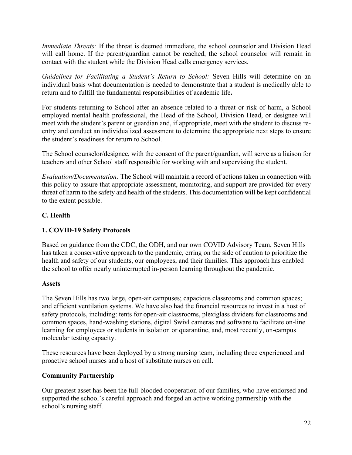*Immediate Threats:* If the threat is deemed immediate, the school counselor and Division Head will call home. If the parent/guardian cannot be reached, the school counselor will remain in contact with the student while the Division Head calls emergency services.

*Guidelines for Facilitating a Student's Return to School:* Seven Hills will determine on an individual basis what documentation is needed to demonstrate that a student is medically able to return and to fulfill the fundamental responsibilities of academic life**.** 

For students returning to School after an absence related to a threat or risk of harm, a School employed mental health professional, the Head of the School, Division Head, or designee will meet with the student's parent or guardian and, if appropriate, meet with the student to discuss reentry and conduct an individualized assessment to determine the appropriate next steps to ensure the student's readiness for return to School.

The School counselor/designee, with the consent of the parent/guardian, will serve as a liaison for teachers and other School staff responsible for working with and supervising the student.

*Evaluation/Documentation:* The School will maintain a record of actions taken in connection with this policy to assure that appropriate assessment, monitoring, and support are provided for every threat of harm to the safety and health of the students. This documentation will be kept confidential to the extent possible.

## **C. Health**

## **1. COVID-19 Safety Protocols**

Based on guidance from the CDC, the ODH, and our own COVID Advisory Team, Seven Hills has taken a conservative approach to the pandemic, erring on the side of caution to prioritize the health and safety of our students, our employees, and their families. This approach has enabled the school to offer nearly uninterrupted in-person learning throughout the pandemic.

## **Assets**

The Seven Hills has two large, open-air campuses; capacious classrooms and common spaces; and efficient ventilation systems. We have also had the financial resources to invest in a host of safety protocols, including: tents for open-air classrooms, plexiglass dividers for classrooms and common spaces, hand-washing stations, digital Swivl cameras and software to facilitate on-line learning for employees or students in isolation or quarantine, and, most recently, on-campus molecular testing capacity.

These resources have been deployed by a strong nursing team, including three experienced and proactive school nurses and a host of substitute nurses on call.

## **Community Partnership**

Our greatest asset has been the full-blooded cooperation of our families, who have endorsed and supported the school's careful approach and forged an active working partnership with the school's nursing staff.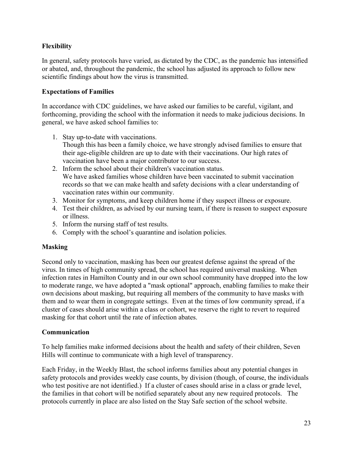# **Flexibility**

In general, safety protocols have varied, as dictated by the CDC, as the pandemic has intensified or abated, and, throughout the pandemic, the school has adjusted its approach to follow new scientific findings about how the virus is transmitted.

## **Expectations of Families**

In accordance with CDC guidelines, we have asked our families to be careful, vigilant, and forthcoming, providing the school with the information it needs to make judicious decisions. In general, we have asked school families to:

- 1. Stay up-to-date with vaccinations. Though this has been a family choice, we have strongly advised families to ensure that their age-eligible children are up to date with their vaccinations. Our high rates of vaccination have been a major contributor to our success.
- 2. Inform the school about their children's vaccination status. We have asked families whose children have been vaccinated to submit vaccination records so that we can make health and safety decisions with a clear understanding of vaccination rates within our community.
- 3. Monitor for symptoms, and keep children home if they suspect illness or exposure.
- 4. Test their children, as advised by our nursing team, if there is reason to suspect exposure or illness.
- 5. Inform the nursing staff of test results.
- 6. Comply with the school's quarantine and isolation policies.

### **Masking**

Second only to vaccination, masking has been our greatest defense against the spread of the virus. In times of high community spread, the school has required universal masking. When infection rates in Hamilton County and in our own school community have dropped into the low to moderate range, we have adopted a "mask optional" approach, enabling families to make their own decisions about masking, but requiring all members of the community to have masks with them and to wear them in congregate settings. Even at the times of low community spread, if a cluster of cases should arise within a class or cohort, we reserve the right to revert to required masking for that cohort until the rate of infection abates.

### **Communication**

To help families make informed decisions about the health and safety of their children, Seven Hills will continue to communicate with a high level of transparency.

Each Friday, in the Weekly Blast, the school informs families about any potential changes in safety protocols and provides weekly case counts, by division (though, of course, the individuals who test positive are not identified.) If a cluster of cases should arise in a class or grade level, the families in that cohort will be notified separately about any new required protocols. The protocols currently in place are also listed on the Stay Safe section of the school website.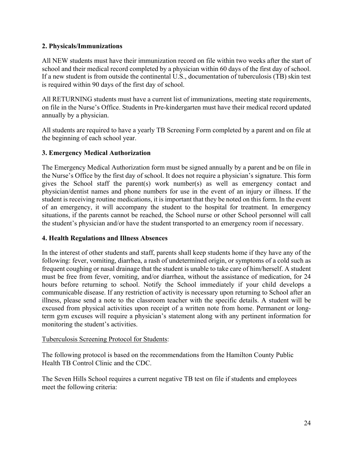### **2. Physicals/Immunizations**

All NEW students must have their immunization record on file within two weeks after the start of school and their medical record completed by a physician within 60 days of the first day of school. If a new student is from outside the continental U.S., documentation of tuberculosis (TB) skin test is required within 90 days of the first day of school.

All RETURNING students must have a current list of immunizations, meeting state requirements, on file in the Nurse's Office. Students in Pre-kindergarten must have their medical record updated annually by a physician.

All students are required to have a yearly TB Screening Form completed by a parent and on file at the beginning of each school year.

### **3. Emergency Medical Authorization**

The Emergency Medical Authorization form must be signed annually by a parent and be on file in the Nurse's Office by the first day of school. It does not require a physician's signature. This form gives the School staff the parent(s) work number(s) as well as emergency contact and physician/dentist names and phone numbers for use in the event of an injury or illness. If the student is receiving routine medications, it is important that they be noted on this form. In the event of an emergency, it will accompany the student to the hospital for treatment. In emergency situations, if the parents cannot be reached, the School nurse or other School personnel will call the student's physician and/or have the student transported to an emergency room if necessary.

### **4. Health Regulations and Illness Absences**

In the interest of other students and staff, parents shall keep students home if they have any of the following: fever, vomiting, diarrhea, a rash of undetermined origin, or symptoms of a cold such as frequent coughing or nasal drainage that the student is unable to take care of him/herself. A student must be free from fever, vomiting, and/or diarrhea, without the assistance of medication, for 24 hours before returning to school. Notify the School immediately if your child develops a communicable disease. If any restriction of activity is necessary upon returning to School after an illness, please send a note to the classroom teacher with the specific details. A student will be excused from physical activities upon receipt of a written note from home. Permanent or longterm gym excuses will require a physician's statement along with any pertinent information for monitoring the student's activities.

### Tuberculosis Screening Protocol for Students:

The following protocol is based on the recommendations from the Hamilton County Public Health TB Control Clinic and the CDC.

The Seven Hills School requires a current negative TB test on file if students and employees meet the following criteria: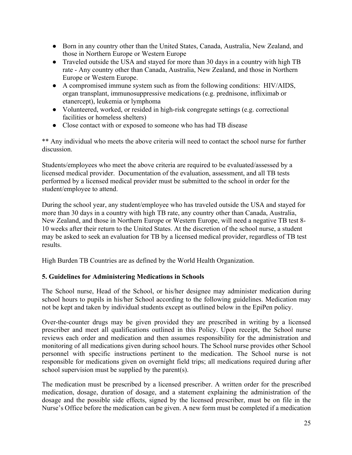- Born in any country other than the United States, Canada, Australia, New Zealand, and those in Northern Europe or Western Europe
- Traveled outside the USA and stayed for more than 30 days in a country with high TB rate - Any country other than Canada, Australia, New Zealand, and those in Northern Europe or Western Europe.
- A compromised immune system such as from the following conditions: HIV/AIDS, organ transplant, immunosuppressive medications (e.g. prednisone, infliximab or etanercept), leukemia or lymphoma
- Volunteered, worked, or resided in high-risk congregate settings (e.g. correctional facilities or homeless shelters)
- Close contact with or exposed to someone who has had TB disease

\*\* Any individual who meets the above criteria will need to contact the school nurse for further discussion.

Students/employees who meet the above criteria are required to be evaluated/assessed by a licensed medical provider. Documentation of the evaluation, assessment, and all TB tests performed by a licensed medical provider must be submitted to the school in order for the student/employee to attend.

During the school year, any student/employee who has traveled outside the USA and stayed for more than 30 days in a country with high TB rate, any country other than Canada, Australia, New Zealand, and those in Northern Europe or Western Europe, will need a negative TB test 8- 10 weeks after their return to the United States. At the discretion of the school nurse, a student may be asked to seek an evaluation for TB by a licensed medical provider, regardless of TB test results.

High Burden TB Countries are as defined by the World Health Organization.

## **5. Guidelines for Administering Medications in Schools**

The School nurse, Head of the School, or his/her designee may administer medication during school hours to pupils in his/her School according to the following guidelines. Medication may not be kept and taken by individual students except as outlined below in the EpiPen policy.

Over-the-counter drugs may be given provided they are prescribed in writing by a licensed prescriber and meet all qualifications outlined in this Policy. Upon receipt, the School nurse reviews each order and medication and then assumes responsibility for the administration and monitoring of all medications given during school hours. The School nurse provides other School personnel with specific instructions pertinent to the medication. The School nurse is not responsible for medications given on overnight field trips; all medications required during after school supervision must be supplied by the parent(s).

The medication must be prescribed by a licensed prescriber. A written order for the prescribed medication, dosage, duration of dosage, and a statement explaining the administration of the dosage and the possible side effects, signed by the licensed prescriber, must be on file in the Nurse's Office before the medication can be given. A new form must be completed if a medication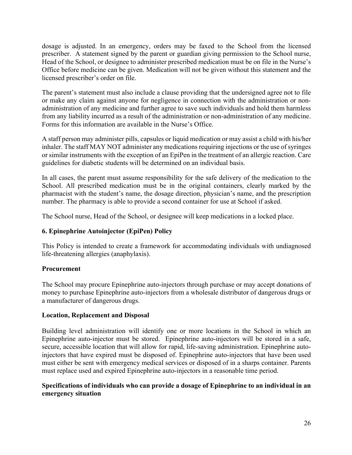dosage is adjusted. In an emergency, orders may be faxed to the School from the licensed prescriber. A statement signed by the parent or guardian giving permission to the School nurse, Head of the School, or designee to administer prescribed medication must be on file in the Nurse's Office before medicine can be given. Medication will not be given without this statement and the licensed prescriber's order on file.

The parent's statement must also include a clause providing that the undersigned agree not to file or make any claim against anyone for negligence in connection with the administration or nonadministration of any medicine and further agree to save such individuals and hold them harmless from any liability incurred as a result of the administration or non-administration of any medicine. Forms for this information are available in the Nurse's Office.

A staff person may administer pills, capsules or liquid medication or may assist a child with his/her inhaler. The staff MAY NOT administer any medications requiring injections or the use of syringes or similar instruments with the exception of an EpiPen in the treatment of an allergic reaction. Care guidelines for diabetic students will be determined on an individual basis.

In all cases, the parent must assume responsibility for the safe delivery of the medication to the School. All prescribed medication must be in the original containers, clearly marked by the pharmacist with the student's name, the dosage direction, physician's name, and the prescription number. The pharmacy is able to provide a second container for use at School if asked.

The School nurse, Head of the School, or designee will keep medications in a locked place.

### **6. Epinephrine Autoinjector (EpiPen) Policy**

This Policy is intended to create a framework for accommodating individuals with undiagnosed life-threatening allergies (anaphylaxis).

### **Procurement**

The School may procure Epinephrine auto-injectors through purchase or may accept donations of money to purchase Epinephrine auto-injectors from a wholesale distributor of dangerous drugs or a manufacturer of dangerous drugs.

#### **Location, Replacement and Disposal**

Building level administration will identify one or more locations in the School in which an Epinephrine auto-injector must be stored. Epinephrine auto-injectors will be stored in a safe, secure, accessible location that will allow for rapid, life-saving administration. Epinephrine autoinjectors that have expired must be disposed of. Epinephrine auto-injectors that have been used must either be sent with emergency medical services or disposed of in a sharps container. Parents must replace used and expired Epinephrine auto-injectors in a reasonable time period.

### **Specifications of individuals who can provide a dosage of Epinephrine to an individual in an emergency situation**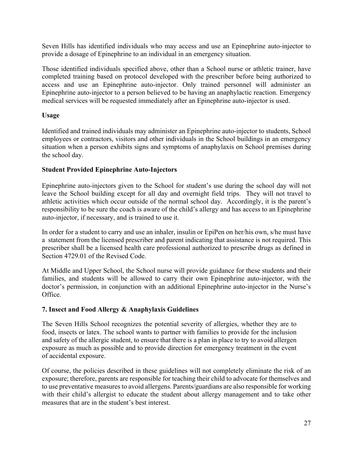Seven Hills has identified individuals who may access and use an Epinephrine auto-injector to provide a dosage of Epinephrine to an individual in an emergency situation.

Those identified individuals specified above, other than a School nurse or athletic trainer, have completed training based on protocol developed with the prescriber before being authorized to access and use an Epinephrine auto-injector. Only trained personnel will administer an Epinephrine auto-injector to a person believed to be having an anaphylactic reaction. Emergency medical services will be requested immediately after an Epinephrine auto-injector is used.

### **Usage**

Identified and trained individuals may administer an Epinephrine auto-injector to students, School employees or contractors, visitors and other individuals in the School buildings in an emergency situation when a person exhibits signs and symptoms of anaphylaxis on School premises during the school day.

### **Student Provided Epinephrine Auto-Injectors**

Epinephrine auto-injectors given to the School for student's use during the school day will not leave the School building except for all day and overnight field trips. They will not travel to athletic activities which occur outside of the normal school day. Accordingly, it is the parent's responsibility to be sure the coach is aware of the child's allergy and has access to an Epinephrine auto-injector, if necessary, and is trained to use it.

In order for a student to carry and use an inhaler, insulin or EpiPen on her/his own, s/he must have a statement from the licensed prescriber and parent indicating that assistance is not required. This prescriber shall be a licensed health care professional authorized to prescribe drugs as defined in Section 4729.01 of the Revised Code.

At Middle and Upper School, the School nurse will provide guidance for these students and their families, and students will be allowed to carry their own Epinephrine auto-injector, with the doctor's permission, in conjunction with an additional Epinephrine auto-injector in the Nurse's Office.

## **7. Insect and Food Allergy & Anaphylaxis Guidelines**

The Seven Hills School recognizes the potential severity of allergies, whether they are to food, insects or latex. The school wants to partner with families to provide for the inclusion and safety of the allergic student, to ensure that there is a plan in place to try to avoid allergen exposure as much as possible and to provide direction for emergency treatment in the event of accidental exposure.

Of course, the policies described in these guidelines will not completely eliminate the risk of an exposure; therefore, parents are responsible for teaching their child to advocate for themselves and to use preventative measures to avoid allergens. Parents/guardians are also responsible for working with their child's allergist to educate the student about allergy management and to take other measures that are in the student's best interest.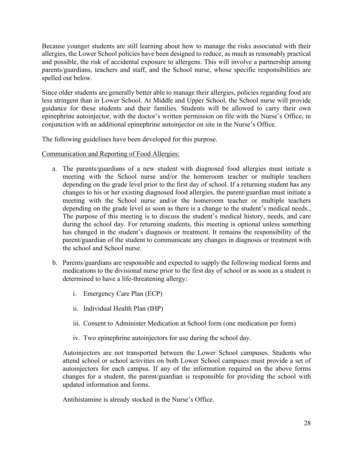Because younger students are still learning about how to manage the risks associated with their allergies, the Lower School policies have been designed to reduce, as much as reasonably practical and possible, the risk of accidental exposure to allergens. This will involve a partnership among parents/guardians, teachers and staff, and the School nurse, whose specific responsibilities are spelled out below.

Since older students are generally better able to manage their allergies, policies regarding food are less stringent than in Lower School. At Middle and Upper School, the School nurse will provide guidance for these students and their families. Students will be allowed to carry their own epinephrine autoinjector, with the doctor's written permission on file with the Nurse's Office, in conjunction with an additional epinephrine autoinjector on site in the Nurse's Office.

The following guidelines have been developed for this purpose.

Communication and Reporting of Food Allergies:

- a. The parents/guardians of a new student with diagnosed food allergies must initiate a meeting with the School nurse and/or the homeroom teacher or multiple teachers depending on the grade level prior to the first day of school. If a returning student has any changes to his or her existing diagnosed food allergies, the parent/guardian must initiate a meeting with the School nurse and/or the homeroom teacher or multiple teachers depending on the grade level as soon as there is a change to the student's medical needs., The purpose of this meeting is to discuss the student's medical history, needs, and care during the school day. For returning students, this meeting is optional unless something has changed in the student's diagnosis or treatment. It remains the responsibility of the parent/guardian of the student to communicate any changes in diagnosis or treatment with the school and School nurse.
- b. Parents/guardians are responsible and expected to supply the following medical forms and medications to the divisional nurse prior to the first day of school or as soon as a student is determined to have a life-threatening allergy:
	- i. Emergency Care Plan (ECP)
	- ii. Individual Health Plan (IHP)
	- iii. Consent to Administer Medication at School form (one medication per form)
	- iv. Two epinephrine autoinjectors for use during the school day.

Autoinjectors are not transported between the Lower School campuses. Students who attend school or school activities on both Lower School campuses must provide a set of autoinjectors for each campus. If any of the information required on the above forms changes for a student, the parent/guardian is responsible for providing the school with updated information and forms.

Antihistamine is already stocked in the Nurse's Office.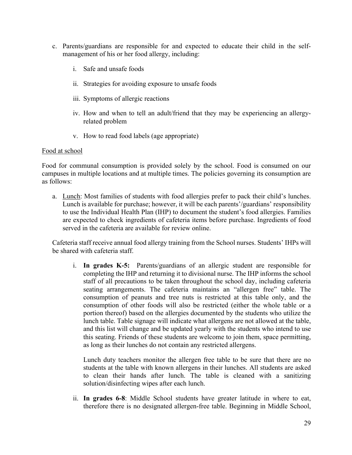- c. Parents/guardians are responsible for and expected to educate their child in the selfmanagement of his or her food allergy, including:
	- i. Safe and unsafe foods
	- ii. Strategies for avoiding exposure to unsafe foods
	- iii. Symptoms of allergic reactions
	- iv. How and when to tell an adult/friend that they may be experiencing an allergyrelated problem
	- v. How to read food labels (age appropriate)

#### Food at school

Food for communal consumption is provided solely by the school. Food is consumed on our campuses in multiple locations and at multiple times. The policies governing its consumption are as follows:

a. Lunch: Most families of students with food allergies prefer to pack their child's lunches. Lunch is available for purchase; however, it will be each parents'/guardians' responsibility to use the Individual Health Plan (IHP) to document the student's food allergies. Families are expected to check ingredients of cafeteria items before purchase. Ingredients of food served in the cafeteria are available for review online.

Cafeteria staff receive annual food allergy training from the School nurses. Students' IHPs will be shared with cafeteria staff.

i. **In grades K-5:** Parents/guardians of an allergic student are responsible for completing the IHP and returning it to divisional nurse. The IHP informs the school staff of all precautions to be taken throughout the school day, including cafeteria seating arrangements. The cafeteria maintains an "allergen free" table. The consumption of peanuts and tree nuts is restricted at this table only, and the consumption of other foods will also be restricted (either the whole table or a portion thereof) based on the allergies documented by the students who utilize the lunch table. Table signage will indicate what allergens are not allowed at the table, and this list will change and be updated yearly with the students who intend to use this seating. Friends of these students are welcome to join them, space permitting, as long as their lunches do not contain any restricted allergens.

Lunch duty teachers monitor the allergen free table to be sure that there are no students at the table with known allergens in their lunches. All students are asked to clean their hands after lunch. The table is cleaned with a sanitizing solution/disinfecting wipes after each lunch.

ii. **In grades 6-8**: Middle School students have greater latitude in where to eat, therefore there is no designated allergen-free table. Beginning in Middle School,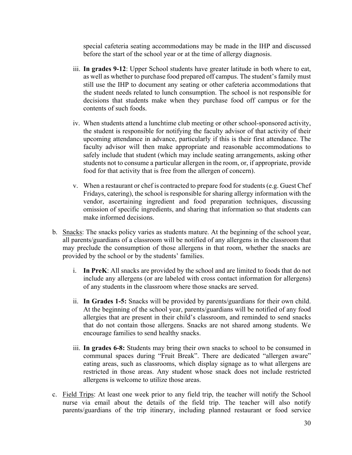special cafeteria seating accommodations may be made in the IHP and discussed before the start of the school year or at the time of allergy diagnosis.

- iii. **In grades 9-12**: Upper School students have greater latitude in both where to eat, as well as whether to purchase food prepared off campus. The student's family must still use the IHP to document any seating or other cafeteria accommodations that the student needs related to lunch consumption. The school is not responsible for decisions that students make when they purchase food off campus or for the contents of such foods.
- iv. When students attend a lunchtime club meeting or other school-sponsored activity, the student is responsible for notifying the faculty advisor of that activity of their upcoming attendance in advance, particularly if this is their first attendance. The faculty advisor will then make appropriate and reasonable accommodations to safely include that student (which may include seating arrangements, asking other students not to consume a particular allergen in the room, or, if appropriate, provide food for that activity that is free from the allergen of concern).
- v. When a restaurant or chef is contracted to prepare food for students (e.g. Guest Chef Fridays, catering), the school is responsible for sharing allergy information with the vendor, ascertaining ingredient and food preparation techniques, discussing omission of specific ingredients, and sharing that information so that students can make informed decisions.
- b. Snacks: The snacks policy varies as students mature. At the beginning of the school year, all parents/guardians of a classroom will be notified of any allergens in the classroom that may preclude the consumption of those allergens in that room, whether the snacks are provided by the school or by the students' families.
	- i. **In PreK**: All snacks are provided by the school and are limited to foods that do not include any allergens (or are labeled with cross contact information for allergens) of any students in the classroom where those snacks are served.
	- ii. **In Grades 1-5:** Snacks will be provided by parents/guardians for their own child. At the beginning of the school year, parents/guardians will be notified of any food allergies that are present in their child's classroom, and reminded to send snacks that do not contain those allergens. Snacks are not shared among students. We encourage families to send healthy snacks.
	- iii. **In grades 6-8:** Students may bring their own snacks to school to be consumed in communal spaces during "Fruit Break". There are dedicated "allergen aware" eating areas, such as classrooms, which display signage as to what allergens are restricted in those areas. Any student whose snack does not include restricted allergens is welcome to utilize those areas.
- c. Field Trips: At least one week prior to any field trip, the teacher will notify the School nurse via email about the details of the field trip. The teacher will also notify parents/guardians of the trip itinerary, including planned restaurant or food service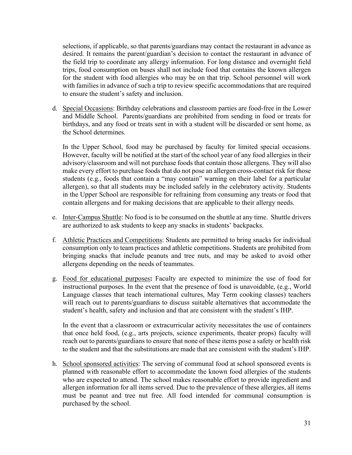selections, if applicable, so that parents/guardians may contact the restaurant in advance as desired. It remains the parent/guardian's decision to contact the restaurant in advance of the field trip to coordinate any allergy information. For long distance and overnight field trips, food consumption on buses shall not include food that contains the known allergen for the student with food allergies who may be on that trip. School personnel will work with families in advance of such a trip to review specific accommodations that are required to ensure the student's safety and inclusion.

d. Special Occasions: Birthday celebrations and classroom parties are food-free in the Lower and Middle School. Parents/guardians are prohibited from sending in food or treats for birthdays, and any food or treats sent in with a student will be discarded or sent home, as the School determines.

In the Upper School, food may be purchased by faculty for limited special occasions. However, faculty will be notified at the start of the school year of any food allergies in their advisory/classroom and will not purchase foods that contain those allergens. They will also make every effort to purchase foods that do not pose an allergen cross-contact risk for those students (e.g., foods that contain a "may contain" warning on their label for a particular allergen), so that all students may be included safely in the celebratory activity. Students in the Upper School are responsible for refraining from consuming any treats or food that contain allergens and for making decisions that are applicable to their allergy needs.

- e. Inter-Campus Shuttle: No food is to be consumed on the shuttle at any time. Shuttle drivers are authorized to ask students to keep any snacks in students' backpacks.
- f. Athletic Practices and Competitions: Students are permitted to bring snacks for individual consumption only to team practices and athletic competitions. Students are prohibited from bringing snacks that include peanuts and tree nuts, and may be asked to avoid other allergens depending on the needs of teammates.
- g. Food for educational purposes**:** Faculty are expected to minimize the use of food for instructional purposes. In the event that the presence of food is unavoidable, (e.g., World Language classes that teach international cultures, May Term cooking classes) teachers will reach out to parents/guardians to discuss suitable alternatives that accommodate the student's health, safety and inclusion and that are consistent with the student's IHP.

In the event that a classroom or extracurricular activity necessitates the use of containers that once held food, (e.g., arts projects, science experiments, theater props) faculty will reach out to parents/guardians to ensure that none of these items pose a safety or health risk to the student and that the substitutions are made that are consistent with the student's IHP.

h. School sponsored activities: The serving of communal food at school sponsored events is planned with reasonable effort to accommodate the known food allergies of the students who are expected to attend. The school makes reasonable effort to provide ingredient and allergen information for all items served. Due to the prevalence of these allergies, all items must be peanut and tree nut free. All food intended for communal consumption is purchased by the school.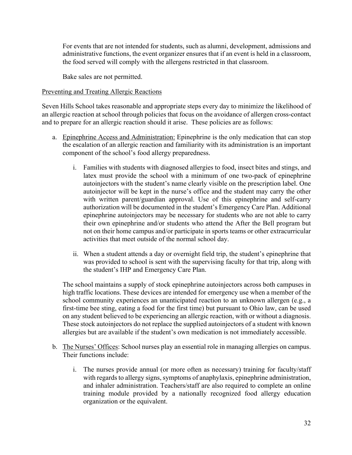For events that are not intended for students, such as alumni, development, admissions and administrative functions, the event organizer ensures that if an event is held in a classroom, the food served will comply with the allergens restricted in that classroom.

Bake sales are not permitted.

#### Preventing and Treating Allergic Reactions

Seven Hills School takes reasonable and appropriate steps every day to minimize the likelihood of an allergic reaction at school through policies that focus on the avoidance of allergen cross-contact and to prepare for an allergic reaction should it arise. These policies are as follows:

- a. Epinephrine Access and Administration: Epinephrine is the only medication that can stop the escalation of an allergic reaction and familiarity with its administration is an important component of the school's food allergy preparedness.
	- i. Families with students with diagnosed allergies to food, insect bites and stings, and latex must provide the school with a minimum of one two-pack of epinephrine autoinjectors with the student's name clearly visible on the prescription label. One autoinjector will be kept in the nurse's office and the student may carry the other with written parent/guardian approval. Use of this epinephrine and self-carry authorization will be documented in the student's Emergency Care Plan. Additional epinephrine autoinjectors may be necessary for students who are not able to carry their own epinephrine and/or students who attend the After the Bell program but not on their home campus and/or participate in sports teams or other extracurricular activities that meet outside of the normal school day.
	- ii. When a student attends a day or overnight field trip, the student's epinephrine that was provided to school is sent with the supervising faculty for that trip, along with the student's IHP and Emergency Care Plan.

The school maintains a supply of stock epinephrine autoinjectors across both campuses in high traffic locations. These devices are intended for emergency use when a member of the school community experiences an unanticipated reaction to an unknown allergen (e.g., a first-time bee sting, eating a food for the first time) but pursuant to Ohio law, can be used on any student believed to be experiencing an allergic reaction, with or without a diagnosis. These stock autoinjectors do not replace the supplied autoinjectors of a student with known allergies but are available if the student's own medication is not immediately accessible.

- b. The Nurses' Offices: School nurses play an essential role in managing allergies on campus. Their functions include:
	- i. The nurses provide annual (or more often as necessary) training for faculty/staff with regards to allergy signs, symptoms of anaphylaxis, epinephrine administration, and inhaler administration. Teachers/staff are also required to complete an online training module provided by a nationally recognized food allergy education organization or the equivalent.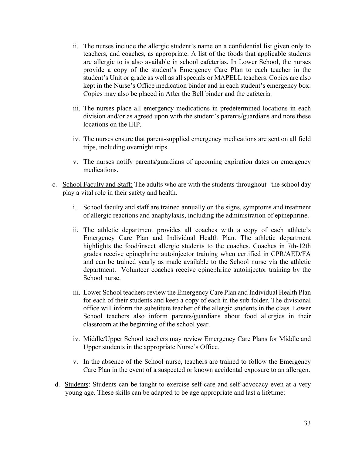- ii. The nurses include the allergic student's name on a confidential list given only to teachers, and coaches, as appropriate. A list of the foods that applicable students are allergic to is also available in school cafeterias. In Lower School, the nurses provide a copy of the student's Emergency Care Plan to each teacher in the student's Unit or grade as well as all specials or MAPELL teachers. Copies are also kept in the Nurse's Office medication binder and in each student's emergency box. Copies may also be placed in After the Bell binder and the cafeteria.
- iii. The nurses place all emergency medications in predetermined locations in each division and/or as agreed upon with the student's parents/guardians and note these locations on the IHP.
- iv. The nurses ensure that parent-supplied emergency medications are sent on all field trips, including overnight trips.
- v. The nurses notify parents/guardians of upcoming expiration dates on emergency medications.
- c. School Faculty and Staff: The adults who are with the students throughout the school day play a vital role in their safety and health.
	- i. School faculty and staff are trained annually on the signs, symptoms and treatment of allergic reactions and anaphylaxis, including the administration of epinephrine.
	- ii. The athletic department provides all coaches with a copy of each athlete's Emergency Care Plan and Individual Health Plan. The athletic department highlights the food/insect allergic students to the coaches. Coaches in 7th-12th grades receive epinephrine autoinjector training when certified in CPR/AED/FA and can be trained yearly as made available to the School nurse via the athletic department. Volunteer coaches receive epinephrine autoinjector training by the School nurse.
	- iii. Lower School teachers review the Emergency Care Plan and Individual Health Plan for each of their students and keep a copy of each in the sub folder. The divisional office will inform the substitute teacher of the allergic students in the class. Lower School teachers also inform parents/guardians about food allergies in their classroom at the beginning of the school year.
	- iv. Middle/Upper School teachers may review Emergency Care Plans for Middle and Upper students in the appropriate Nurse's Office.
	- v. In the absence of the School nurse, teachers are trained to follow the Emergency Care Plan in the event of a suspected or known accidental exposure to an allergen.
- d. Students: Students can be taught to exercise self-care and self-advocacy even at a very young age. These skills can be adapted to be age appropriate and last a lifetime: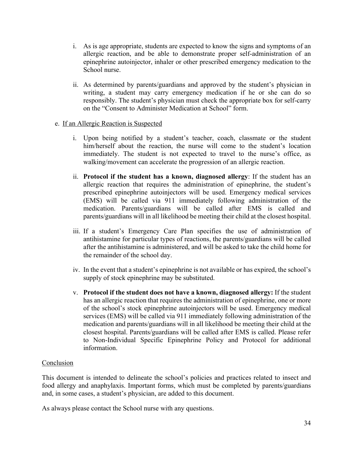- i. As is age appropriate, students are expected to know the signs and symptoms of an allergic reaction, and be able to demonstrate proper self-administration of an epinephrine autoinjector, inhaler or other prescribed emergency medication to the School nurse.
- ii. As determined by parents/guardians and approved by the student's physician in writing, a student may carry emergency medication if he or she can do so responsibly. The student's physician must check the appropriate box for self-carry on the "Consent to Administer Medication at School" form.

#### e. If an Allergic Reaction is Suspected

- i. Upon being notified by a student's teacher, coach, classmate or the student him/herself about the reaction, the nurse will come to the student's location immediately. The student is not expected to travel to the nurse's office, as walking/movement can accelerate the progression of an allergic reaction.
- ii. **Protocol if the student has a known, diagnosed allergy**: If the student has an allergic reaction that requires the administration of epinephrine, the student's prescribed epinephrine autoinjectors will be used. Emergency medical services (EMS) will be called via 911 immediately following administration of the medication. Parents/guardians will be called after EMS is called and parents/guardians will in all likelihood be meeting their child at the closest hospital.
- iii. If a student's Emergency Care Plan specifies the use of administration of antihistamine for particular types of reactions, the parents/guardians will be called after the antihistamine is administered, and will be asked to take the child home for the remainder of the school day.
- iv. In the event that a student's epinephrine is not available or has expired, the school's supply of stock epinephrine may be substituted.
- v. **Protocol if the student does not have a known, diagnosed allergy:** If the student has an allergic reaction that requires the administration of epinephrine, one or more of the school's stock epinephrine autoinjectors will be used. Emergency medical services (EMS) will be called via 911 immediately following administration of the medication and parents/guardians will in all likelihood be meeting their child at the closest hospital. Parents/guardians will be called after EMS is called. Please refer to Non-Individual Specific Epinephrine Policy and Protocol for additional information.

#### Conclusion

This document is intended to delineate the school's policies and practices related to insect and food allergy and anaphylaxis. Important forms, which must be completed by parents/guardians and, in some cases, a student's physician, are added to this document.

As always please contact the School nurse with any questions.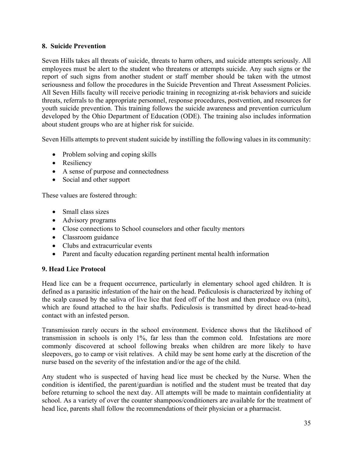#### **8. Suicide Prevention**

Seven Hills takes all threats of suicide, threats to harm others, and suicide attempts seriously. All employees must be alert to the student who threatens or attempts suicide. Any such signs or the report of such signs from another student or staff member should be taken with the utmost seriousness and follow the procedures in the Suicide Prevention and Threat Assessment Policies. All Seven Hills faculty will receive periodic training in recognizing at-risk behaviors and suicide threats, referrals to the appropriate personnel, response procedures, postvention, and resources for youth suicide prevention. This training follows the suicide awareness and prevention curriculum developed by the Ohio Department of Education (ODE). The training also includes information about student groups who are at higher risk for suicide.

Seven Hills attempts to prevent student suicide by instilling the following values in its community:

- Problem solving and coping skills
- Resiliency
- A sense of purpose and connectedness
- Social and other support

These values are fostered through:

- Small class sizes
- Advisory programs
- Close connections to School counselors and other faculty mentors
- Classroom guidance
- Clubs and extracurricular events
- Parent and faculty education regarding pertinent mental health information

### **9. Head Lice Protocol**

Head lice can be a frequent occurrence, particularly in elementary school aged children. It is defined as a parasitic infestation of the hair on the head. Pediculosis is characterized by itching of the scalp caused by the saliva of live lice that feed off of the host and then produce ova (nits), which are found attached to the hair shafts. Pediculosis is transmitted by direct head-to-head contact with an infested person.

Transmission rarely occurs in the school environment. Evidence shows that the likelihood of transmission in schools is only 1%, far less than the common cold. Infestations are more commonly discovered at school following breaks when children are more likely to have sleepovers, go to camp or visit relatives. A child may be sent home early at the discretion of the nurse based on the severity of the infestation and/or the age of the child.

Any student who is suspected of having head lice must be checked by the Nurse. When the condition is identified, the parent/guardian is notified and the student must be treated that day before returning to school the next day. All attempts will be made to maintain confidentiality at school. As a variety of over the counter shampoos/conditioners are available for the treatment of head lice, parents shall follow the recommendations of their physician or a pharmacist.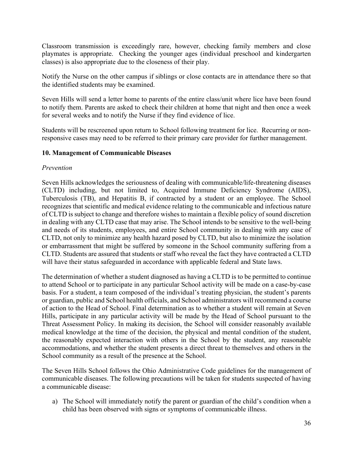Classroom transmission is exceedingly rare, however, checking family members and close playmates is appropriate. Checking the younger ages (individual preschool and kindergarten classes) is also appropriate due to the closeness of their play.

Notify the Nurse on the other campus if siblings or close contacts are in attendance there so that the identified students may be examined.

Seven Hills will send a letter home to parents of the entire class/unit where lice have been found to notify them. Parents are asked to check their children at home that night and then once a week for several weeks and to notify the Nurse if they find evidence of lice.

Students will be rescreened upon return to School following treatment for lice. Recurring or nonresponsive cases may need to be referred to their primary care provider for further management.

### **10. Management of Communicable Diseases**

### *Prevention*

Seven Hills acknowledges the seriousness of dealing with communicable/life-threatening diseases (CLTD) including, but not limited to, Acquired Immune Deficiency Syndrome (AIDS), Tuberculosis (TB), and Hepatitis B, if contracted by a student or an employee. The School recognizes that scientific and medical evidence relating to the communicable and infectious nature of CLTD is subject to change and therefore wishes to maintain a flexible policy of sound discretion in dealing with any CLTD case that may arise. The School intends to be sensitive to the well-being and needs of its students, employees, and entire School community in dealing with any case of CLTD, not only to minimize any health hazard posed by CLTD, but also to minimize the isolation or embarrassment that might be suffered by someone in the School community suffering from a CLTD. Students are assured that students or staff who reveal the fact they have contracted a CLTD will have their status safeguarded in accordance with applicable federal and State laws.

The determination of whether a student diagnosed as having a CLTD is to be permitted to continue to attend School or to participate in any particular School activity will be made on a case-by-case basis. For a student, a team composed of the individual's treating physician, the student's parents or guardian, public and School health officials, and School administrators will recommend a course of action to the Head of School. Final determination as to whether a student will remain at Seven Hills, participate in any particular activity will be made by the Head of School pursuant to the Threat Assessment Policy. In making its decision, the School will consider reasonably available medical knowledge at the time of the decision, the physical and mental condition of the student, the reasonably expected interaction with others in the School by the student, any reasonable accommodations, and whether the student presents a direct threat to themselves and others in the School community as a result of the presence at the School.

The Seven Hills School follows the Ohio Administrative Code guidelines for the management of communicable diseases. The following precautions will be taken for students suspected of having a communicable disease:

a) The School will immediately notify the parent or guardian of the child's condition when a child has been observed with signs or symptoms of communicable illness.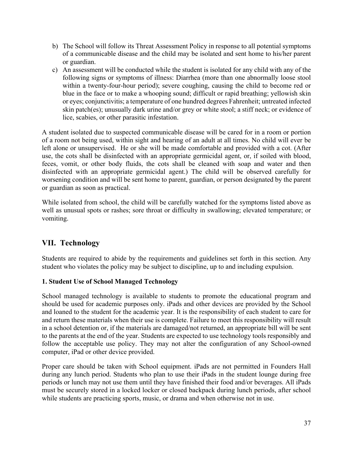- b) The School will follow its Threat Assessment Policy in response to all potential symptoms of a communicable disease and the child may be isolated and sent home to his/her parent or guardian.
- c) An assessment will be conducted while the student is isolated for any child with any of the following signs or symptoms of illness: Diarrhea (more than one abnormally loose stool within a twenty-four-hour period); severe coughing, causing the child to become red or blue in the face or to make a whooping sound; difficult or rapid breathing; yellowish skin or eyes; conjunctivitis; a temperature of one hundred degrees Fahrenheit; untreated infected skin patch(es); unusually dark urine and/or grey or white stool; a stiff neck; or evidence of lice, scabies, or other parasitic infestation.

A student isolated due to suspected communicable disease will be cared for in a room or portion of a room not being used, within sight and hearing of an adult at all times. No child will ever be left alone or unsupervised. He or she will be made comfortable and provided with a cot. (After use, the cots shall be disinfected with an appropriate germicidal agent, or, if soiled with blood, feces, vomit, or other body fluids, the cots shall be cleaned with soap and water and then disinfected with an appropriate germicidal agent.) The child will be observed carefully for worsening condition and will be sent home to parent, guardian, or person designated by the parent or guardian as soon as practical.

While isolated from school, the child will be carefully watched for the symptoms listed above as well as unusual spots or rashes; sore throat or difficulty in swallowing; elevated temperature; or vomiting.

# **VII. Technology**

Students are required to abide by the requirements and guidelines set forth in this section. Any student who violates the policy may be subject to discipline, up to and including expulsion.

## **1. Student Use of School Managed Technology**

School managed technology is available to students to promote the educational program and should be used for academic purposes only. iPads and other devices are provided by the School and loaned to the student for the academic year. It is the responsibility of each student to care for and return these materials when their use is complete. Failure to meet this responsibility will result in a school detention or, if the materials are damaged/not returned, an appropriate bill will be sent to the parents at the end of the year. Students are expected to use technology tools responsibly and follow the acceptable use policy. They may not alter the configuration of any School-owned computer, iPad or other device provided.

Proper care should be taken with School equipment. iPads are not permitted in Founders Hall during any lunch period. Students who plan to use their iPads in the student lounge during free periods or lunch may not use them until they have finished their food and/or beverages. All iPads must be securely stored in a locked locker or closed backpack during lunch periods, after school while students are practicing sports, music, or drama and when otherwise not in use.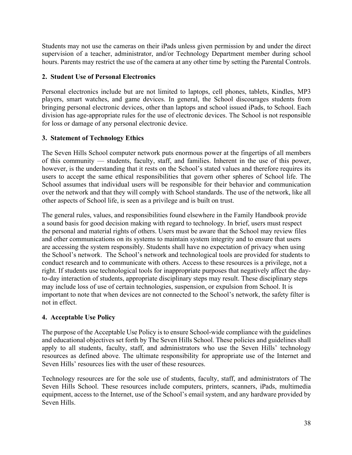Students may not use the cameras on their iPads unless given permission by and under the direct supervision of a teacher, administrator, and/or Technology Department member during school hours. Parents may restrict the use of the camera at any other time by setting the Parental Controls.

### **2. Student Use of Personal Electronics**

Personal electronics include but are not limited to laptops, cell phones, tablets, Kindles, MP3 players, smart watches, and game devices. In general, the School discourages students from bringing personal electronic devices, other than laptops and school issued iPads, to School. Each division has age-appropriate rules for the use of electronic devices. The School is not responsible for loss or damage of any personal electronic device.

### **3. Statement of Technology Ethics**

The Seven Hills School computer network puts enormous power at the fingertips of all members of this community — students, faculty, staff, and families. Inherent in the use of this power, however, is the understanding that it rests on the School's stated values and therefore requires its users to accept the same ethical responsibilities that govern other spheres of School life. The School assumes that individual users will be responsible for their behavior and communication over the network and that they will comply with School standards. The use of the network, like all other aspects of School life, is seen as a privilege and is built on trust.

The general rules, values, and responsibilities found elsewhere in the Family Handbook provide a sound basis for good decision making with regard to technology. In brief, users must respect the personal and material rights of others. Users must be aware that the School may review files and other communications on its systems to maintain system integrity and to ensure that users are accessing the system responsibly. Students shall have no expectation of privacy when using the School's network. The School's network and technological tools are provided for students to conduct research and to communicate with others. Access to these resources is a privilege, not a right. If students use technological tools for inappropriate purposes that negatively affect the dayto-day interaction of students, appropriate disciplinary steps may result. These disciplinary steps may include loss of use of certain technologies, suspension, or expulsion from School. It is important to note that when devices are not connected to the School's network, the safety filter is not in effect.

## **4. Acceptable Use Policy**

The purpose of the Acceptable Use Policy is to ensure School-wide compliance with the guidelines and educational objectives set forth by The Seven Hills School. These policies and guidelines shall apply to all students, faculty, staff, and administrators who use the Seven Hills' technology resources as defined above. The ultimate responsibility for appropriate use of the Internet and Seven Hills' resources lies with the user of these resources.

Technology resources are for the sole use of students, faculty, staff, and administrators of The Seven Hills School. These resources include computers, printers, scanners, iPads, multimedia equipment, access to the Internet, use of the School's email system, and any hardware provided by Seven Hills.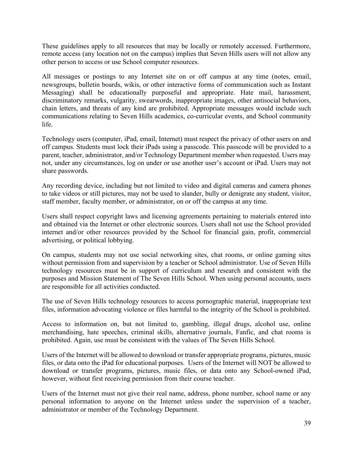These guidelines apply to all resources that may be locally or remotely accessed. Furthermore, remote access (any location not on the campus) implies that Seven Hills users will not allow any other person to access or use School computer resources.

All messages or postings to any Internet site on or off campus at any time (notes, email, newsgroups, bulletin boards, wikis, or other interactive forms of communication such as Instant Messaging) shall be educationally purposeful and appropriate. Hate mail, harassment, discriminatory remarks, vulgarity, swearwords, inappropriate images, other antisocial behaviors, chain letters, and threats of any kind are prohibited. Appropriate messages would include such communications relating to Seven Hills academics, co-curricular events, and School community life.

Technology users (computer, iPad, email, Internet) must respect the privacy of other users on and off campus. Students must lock their iPads using a passcode. This passcode will be provided to a parent, teacher, administrator, and/or Technology Department member when requested. Users may not, under any circumstances, log on under or use another user's account or iPad. Users may not share passwords.

Any recording device, including but not limited to video and digital cameras and camera phones to take videos or still pictures, may not be used to slander, bully or denigrate any student, visitor, staff member, faculty member, or administrator, on or off the campus at any time.

Users shall respect copyright laws and licensing agreements pertaining to materials entered into and obtained via the Internet or other electronic sources. Users shall not use the School provided internet and/or other resources provided by the School for financial gain, profit, commercial advertising, or political lobbying.

On campus, students may not use social networking sites, chat rooms, or online gaming sites without permission from and supervision by a teacher or School administrator. Use of Seven Hills technology resources must be in support of curriculum and research and consistent with the purposes and Mission Statement of The Seven Hills School. When using personal accounts, users are responsible for all activities conducted.

The use of Seven Hills technology resources to access pornographic material, inappropriate text files, information advocating violence or files harmful to the integrity of the School is prohibited.

Access to information on, but not limited to, gambling, illegal drugs, alcohol use, online merchandising, hate speeches, criminal skills, alternative journals, Fanfic, and chat rooms is prohibited. Again, use must be consistent with the values of The Seven Hills School.

Users of the Internet will be allowed to download or transfer appropriate programs, pictures, music files, or data onto the iPad for educational purposes. Users of the Internet will NOT be allowed to download or transfer programs, pictures, music files, or data onto any School-owned iPad, however, without first receiving permission from their course teacher.

Users of the Internet must not give their real name, address, phone number, school name or any personal information to anyone on the Internet unless under the supervision of a teacher, administrator or member of the Technology Department.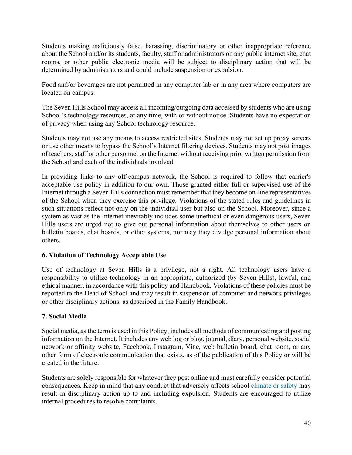Students making maliciously false, harassing, discriminatory or other inappropriate reference about the School and/or its students, faculty, staff or administrators on any public internet site, chat rooms, or other public electronic media will be subject to disciplinary action that will be determined by administrators and could include suspension or expulsion.

Food and/or beverages are not permitted in any computer lab or in any area where computers are located on campus.

The Seven Hills School may access all incoming/outgoing data accessed by students who are using School's technology resources, at any time, with or without notice. Students have no expectation of privacy when using any School technology resource.

Students may not use any means to access restricted sites. Students may not set up proxy servers or use other means to bypass the School's Internet filtering devices. Students may not post images of teachers, staff or other personnel on the Internet without receiving prior written permission from the School and each of the individuals involved.

In providing links to any off-campus network, the School is required to follow that carrier's acceptable use policy in addition to our own. Those granted either full or supervised use of the Internet through a Seven Hills connection must remember that they become on-line representatives of the School when they exercise this privilege. Violations of the stated rules and guidelines in such situations reflect not only on the individual user but also on the School. Moreover, since a system as vast as the Internet inevitably includes some unethical or even dangerous users, Seven Hills users are urged not to give out personal information about themselves to other users on bulletin boards, chat boards, or other systems, nor may they divulge personal information about others.

### **6. Violation of Technology Acceptable Use**

Use of technology at Seven Hills is a privilege, not a right. All technology users have a responsibility to utilize technology in an appropriate, authorized (by Seven Hills), lawful, and ethical manner, in accordance with this policy and Handbook. Violations of these policies must be reported to the Head of School and may result in suspension of computer and network privileges or other disciplinary actions, as described in the Family Handbook.

## **7. Social Media**

Social media, as the term is used in this Policy, includes all methods of communicating and posting information on the Internet. It includes any web log or blog, journal, diary, personal website, social network or affinity website, Facebook, Instagram, Vine, web bulletin board, chat room, or any other form of electronic communication that exists, as of the publication of this Policy or will be created in the future.

Students are solely responsible for whatever they post online and must carefully consider potential consequences. Keep in mind that any conduct that adversely affects school climate or safety may result in disciplinary action up to and including expulsion. Students are encouraged to utilize internal procedures to resolve complaints.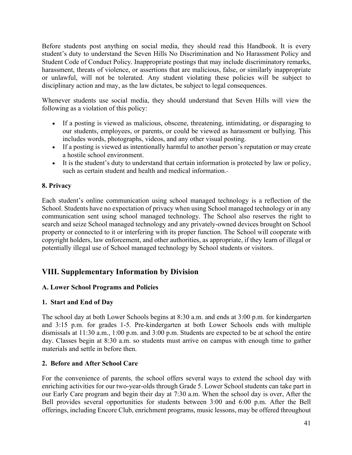Before students post anything on social media, they should read this Handbook. It is every student's duty to understand the Seven Hills No Discrimination and No Harassment Policy and Student Code of Conduct Policy. Inappropriate postings that may include discriminatory remarks, harassment, threats of violence, or assertions that are malicious, false, or similarly inappropriate or unlawful, will not be tolerated. Any student violating these policies will be subject to disciplinary action and may, as the law dictates, be subject to legal consequences.

Whenever students use social media, they should understand that Seven Hills will view the following as a violation of this policy:

- If a posting is viewed as malicious, obscene, threatening, intimidating, or disparaging to our students, employees, or parents, or could be viewed as harassment or bullying. This includes words, photographs, videos, and any other visual posting.
- If a posting is viewed as intentionally harmful to another person's reputation or may create a hostile school environment.
- It is the student's duty to understand that certain information is protected by law or policy, such as certain student and health and medical information.

# **8. Privacy**

Each student's online communication using school managed technology is a reflection of the School. Students have no expectation of privacy when using School managed technology or in any communication sent using school managed technology. The School also reserves the right to search and seize School managed technology and any privately-owned devices brought on School property or connected to it or interfering with its proper function. The School will cooperate with copyright holders, law enforcement, and other authorities, as appropriate, if they learn of illegal or potentially illegal use of School managed technology by School students or visitors.

# **VIII. Supplementary Information by Division**

## **A. Lower School Programs and Policies**

## **1. Start and End of Day**

The school day at both Lower Schools begins at 8:30 a.m. and ends at 3:00 p.m. for kindergarten and 3:15 p.m. for grades 1-5. Pre-kindergarten at both Lower Schools ends with multiple dismissals at 11:30 a.m., 1:00 p.m. and 3:00 p.m. Students are expected to be at school the entire day. Classes begin at 8:30 a.m. so students must arrive on campus with enough time to gather materials and settle in before then.

## **2. Before and After School Care**

For the convenience of parents, the school offers several ways to extend the school day with enriching activities for our two-year-olds through Grade 5. Lower School students can take part in our Early Care program and begin their day at 7:30 a.m. When the school day is over, After the Bell provides several opportunities for students between 3:00 and 6:00 p.m. After the Bell offerings, including Encore Club, enrichment programs, music lessons, may be offered throughout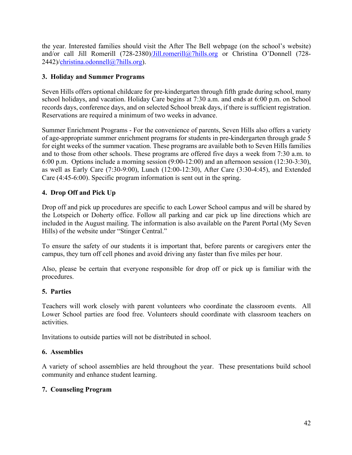the year. Interested families should visit the After The Bell webpage (on the school's website) and/or call Jill Romerill (728-2380)/Jill.romerill@7hills.org or Christina O'Donnell (728-2442)/christina.odonnell@7hills.org).

### **3. Holiday and Summer Programs**

Seven Hills offers optional childcare for pre-kindergarten through fifth grade during school, many school holidays, and vacation. Holiday Care begins at 7:30 a.m. and ends at 6:00 p.m. on School records days, conference days, and on selected School break days, if there is sufficient registration. Reservations are required a minimum of two weeks in advance.

Summer Enrichment Programs - For the convenience of parents, Seven Hills also offers a variety of age-appropriate summer enrichment programs for students in pre-kindergarten through grade 5 for eight weeks of the summer vacation. These programs are available both to Seven Hills families and to those from other schools. These programs are offered five days a week from 7:30 a.m. to 6:00 p.m. Options include a morning session (9:00-12:00) and an afternoon session (12:30-3:30), as well as Early Care (7:30-9:00), Lunch (12:00-12:30), After Care (3:30-4:45), and Extended Care (4:45-6:00). Specific program information is sent out in the spring.

## **4. Drop Off and Pick Up**

Drop off and pick up procedures are specific to each Lower School campus and will be shared by the Lotspeich or Doherty office. Follow all parking and car pick up line directions which are included in the August mailing. The information is also available on the Parent Portal (My Seven Hills) of the website under "Stinger Central."

To ensure the safety of our students it is important that, before parents or caregivers enter the campus, they turn off cell phones and avoid driving any faster than five miles per hour.

Also, please be certain that everyone responsible for drop off or pick up is familiar with the procedures.

### **5. Parties**

Teachers will work closely with parent volunteers who coordinate the classroom events. All Lower School parties are food free. Volunteers should coordinate with classroom teachers on activities.

Invitations to outside parties will not be distributed in school.

### **6. Assemblies**

A variety of school assemblies are held throughout the year. These presentations build school community and enhance student learning.

### **7. Counseling Program**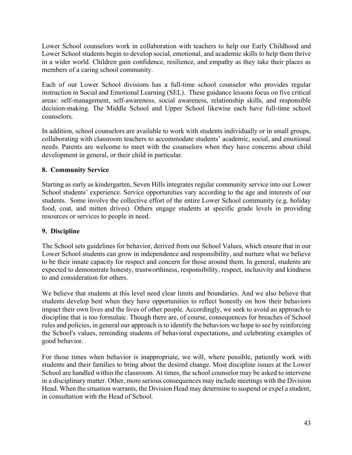Lower School counselors work in collaboration with teachers to help our Early Childhood and Lower School students begin to develop social, emotional, and academic skills to help them thrive in a wider world. Children gain confidence, resilience, and empathy as they take their places as members of a caring school community.

Each of our Lower School divisions has a full-time school counselor who provides regular instruction in Social and Emotional Learning (SEL). These guidance lessons focus on five critical areas: self-management, self-awareness, social awareness, relationship skills, and responsible decision-making. The Middle School and Upper School likewise each have full-time school counselors.

In addition, school counselors are available to work with students individually or in small groups, collaborating with classroom teachers to accommodate students' academic, social, and emotional needs. Parents are welcome to meet with the counselors when they have concerns about child development in general, or their child in particular.

## **8. Community Service**

Starting as early as kindergarten, Seven Hills integrates regular community service into our Lower School students' experience. Service opportunities vary according to the age and interests of our students. Some involve the collective effort of the entire Lower School community (e.g. holiday food, coat, and mitten drives). Others engage students at specific grade levels in providing resources or services to people in need.

### **9. Discipline**

The School sets guidelines for behavior, derived from our School Values, which ensure that in our Lower School students can grow in independence and responsibility, and nurture what we believe to be their innate capacity for respect and concern for those around them. In general, students are expected to demonstrate honesty, trustworthiness, responsibility, respect, inclusivity and kindness to and consideration for others.

We believe that students at this level need clear limits and boundaries. And we also believe that students develop best when they have opportunities to reflect honestly on how their behaviors impact their own lives and the lives of other people. Accordingly, we seek to avoid an approach to discipline that is too formulaic. Though there are, of course, consequences for breaches of School rules and policies, in general our approach is to identify the behaviors we hope to see by reinforcing the School's values, reminding students of behavioral expectations, and celebrating examples of good behavior.

For those times when behavior is inappropriate, we will, where possible, patiently work with students and their families to bring about the desired change. Most discipline issues at the Lower School are handled within the classroom. At times, the school counselor may be asked to intervene in a disciplinary matter. Other, more serious consequences may include meetings with the Division Head. When the situation warrants, the Division Head may determine to suspend or expel a student, in consultation with the Head of School.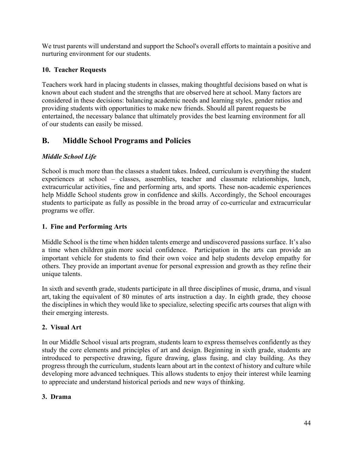We trust parents will understand and support the School's overall efforts to maintain a positive and nurturing environment for our students.

# **10. Teacher Requests**

Teachers work hard in placing students in classes, making thoughtful decisions based on what is known about each student and the strengths that are observed here at school. Many factors are considered in these decisions: balancing academic needs and learning styles, gender ratios and providing students with opportunities to make new friends. Should all parent requests be entertained, the necessary balance that ultimately provides the best learning environment for all of our students can easily be missed.

# **B. Middle School Programs and Policies**

# *Middle School Life*

School is much more than the classes a student takes. Indeed, curriculum is everything the student experiences at school – classes, assemblies, teacher and classmate relationships, lunch, extracurricular activities, fine and performing arts, and sports. These non-academic experiences help Middle School students grow in confidence and skills. Accordingly, the School encourages students to participate as fully as possible in the broad array of co-curricular and extracurricular programs we offer.

# **1. Fine and Performing Arts**

Middle School is the time when hidden talents emerge and undiscovered passions surface. It's also a time when children gain more social confidence. Participation in the arts can provide an important vehicle for students to find their own voice and help students develop empathy for others. They provide an important avenue for personal expression and growth as they refine their unique talents.

In sixth and seventh grade, students participate in all three disciplines of music, drama, and visual art, taking the equivalent of 80 minutes of arts instruction a day. In eighth grade, they choose the disciplines in which they would like to specialize, selecting specific arts courses that align with their emerging interests.

# **2. Visual Art**

In our Middle School visual arts program, students learn to express themselves confidently as they study the core elements and principles of art and design. Beginning in sixth grade, students are introduced to perspective drawing, figure drawing, glass fusing, and clay building. As they progress through the curriculum, students learn about art in the context of history and culture while developing more advanced techniques. This allows students to enjoy their interest while learning to appreciate and understand historical periods and new ways of thinking.

# **3. Drama**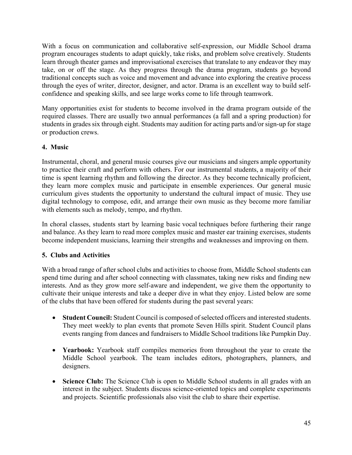With a focus on communication and collaborative self-expression, our Middle School drama program encourages students to adapt quickly, take risks, and problem solve creatively. Students learn through theater games and improvisational exercises that translate to any endeavor they may take, on or off the stage. As they progress through the drama program, students go beyond traditional concepts such as voice and movement and advance into exploring the creative process through the eyes of writer, director, designer, and actor. Drama is an excellent way to build selfconfidence and speaking skills, and see large works come to life through teamwork.

Many opportunities exist for students to become involved in the drama program outside of the required classes. There are usually two annual performances (a fall and a spring production) for students in grades six through eight. Students may audition for acting parts and/or sign-up for stage or production crews.

### **4. Music**

Instrumental, choral, and general music courses give our musicians and singers ample opportunity to practice their craft and perform with others. For our instrumental students, a majority of their time is spent learning rhythm and following the director. As they become technically proficient, they learn more complex music and participate in ensemble experiences. Our general music curriculum gives students the opportunity to understand the cultural impact of music. They use digital technology to compose, edit, and arrange their own music as they become more familiar with elements such as melody, tempo, and rhythm.

In choral classes, students start by learning basic vocal techniques before furthering their range and balance. As they learn to read more complex music and master ear training exercises, students become independent musicians, learning their strengths and weaknesses and improving on them.

## **5. Clubs and Activities**

With a broad range of after school clubs and activities to choose from, Middle School students can spend time during and after school connecting with classmates, taking new risks and finding new interests. And as they grow more self-aware and independent, we give them the opportunity to cultivate their unique interests and take a deeper dive in what they enjoy. Listed below are some of the clubs that have been offered for students during the past several years:

- **Student Council:** Student Council is composed of selected officers and interested students. They meet weekly to plan events that promote Seven Hills spirit. Student Council plans events ranging from dances and fundraisers to Middle School traditions like Pumpkin Day.
- **Yearbook:** Yearbook staff compiles memories from throughout the year to create the Middle School yearbook. The team includes editors, photographers, planners, and designers.
- **Science Club:** The Science Club is open to Middle School students in all grades with an interest in the subject. Students discuss science-oriented topics and complete experiments and projects. Scientific professionals also visit the club to share their expertise.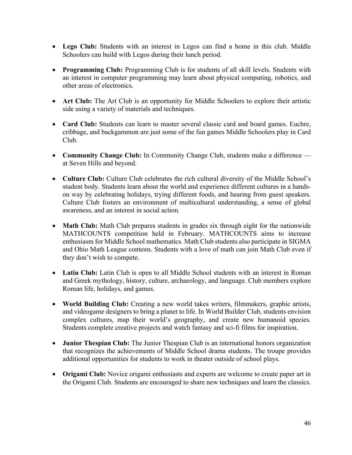- **Lego Club:** Students with an interest in Legos can find a home in this club. Middle Schoolers can build with Legos during their lunch period.
- **Programming Club:** Programming Club is for students of all skill levels. Students with an interest in computer programming may learn about physical computing, robotics, and other areas of electronics.
- **Art Club:** The Art Club is an opportunity for Middle Schoolers to explore their artistic side using a variety of materials and techniques.
- **Card Club:** Students can learn to master several classic card and board games. Euchre, cribbage, and backgammon are just some of the fun games Middle Schoolers play in Card Club.
- **Community Change Club:** In Community Change Club, students make a difference at Seven Hills and beyond.
- **Culture Club:** Culture Club celebrates the rich cultural diversity of the Middle School's student body. Students learn about the world and experience different cultures in a handson way by celebrating holidays, trying different foods, and hearing from guest speakers. Culture Club fosters an environment of multicultural understanding, a sense of global awareness, and an interest in social action.
- **Math Club:** Math Club prepares students in grades six through eight for the nationwide MATHCOUNTS competition held in February. MATHCOUNTS aims to increase enthusiasm for Middle School mathematics. Math Club students also participate in SIGMA and Ohio Math League contests. Students with a love of math can join Math Club even if they don't wish to compete.
- Latin Club: Latin Club is open to all Middle School students with an interest in Roman and Greek mythology, history, culture, archaeology, and language. Club members explore Roman life, holidays, and games.
- **World Building Club:** Creating a new world takes writers, filmmakers, graphic artists, and videogame designers to bring a planet to life. In World Builder Club, students envision complex cultures, map their world's geography, and create new humanoid species. Students complete creative projects and watch fantasy and sci-fi films for inspiration.
- **Junior Thespian Club:** The Junior Thespian Club is an international honors organization that recognizes the achievements of Middle School drama students. The troupe provides additional opportunities for students to work in theater outside of school plays.
- **Origami Club:** Novice origami enthusiasts and experts are welcome to create paper art in the Origami Club. Students are encouraged to share new techniques and learn the classics.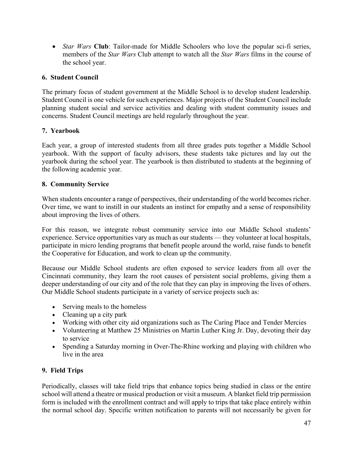• *Star Wars* **Club**: Tailor-made for Middle Schoolers who love the popular sci-fi series, members of the *Star Wars* Club attempt to watch all the *Star Wars* films in the course of the school year.

### **6. Student Council**

The primary focus of student government at the Middle School is to develop student leadership. Student Council is one vehicle for such experiences. Major projects of the Student Council include planning student social and service activities and dealing with student community issues and concerns. Student Council meetings are held regularly throughout the year.

### **7. Yearbook**

Each year, a group of interested students from all three grades puts together a Middle School yearbook. With the support of faculty advisors, these students take pictures and lay out the yearbook during the school year. The yearbook is then distributed to students at the beginning of the following academic year.

### **8. Community Service**

When students encounter a range of perspectives, their understanding of the world becomes richer. Over time, we want to instill in our students an instinct for empathy and a sense of responsibility about improving the lives of others.

For this reason, we integrate robust community service into our Middle School students' experience. Service opportunities vary as much as our students — they volunteer at local hospitals, participate in micro lending programs that benefit people around the world, raise funds to benefit the Cooperative for Education, and work to clean up the community.

Because our Middle School students are often exposed to service leaders from all over the Cincinnati community, they learn the root causes of persistent social problems, giving them a deeper understanding of our city and of the role that they can play in improving the lives of others. Our Middle School students participate in a variety of service projects such as:

- Serving meals to the homeless
- Cleaning up a city park
- Working with other city aid organizations such as The Caring Place and Tender Mercies
- Volunteering at Matthew 25 Ministries on Martin Luther King Jr. Day, devoting their day to service
- Spending a Saturday morning in Over-The-Rhine working and playing with children who live in the area

## **9. Field Trips**

Periodically, classes will take field trips that enhance topics being studied in class or the entire school will attend a theatre or musical production or visit a museum. A blanket field trip permission form is included with the enrollment contract and will apply to trips that take place entirely within the normal school day. Specific written notification to parents will not necessarily be given for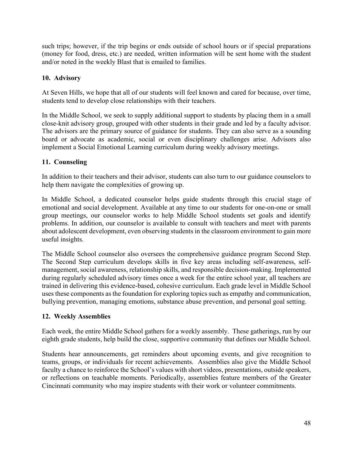such trips; however, if the trip begins or ends outside of school hours or if special preparations (money for food, dress, etc.) are needed, written information will be sent home with the student and/or noted in the weekly Blast that is emailed to families.

### **10. Advisory**

At Seven Hills, we hope that all of our students will feel known and cared for because, over time, students tend to develop close relationships with their teachers.

In the Middle School, we seek to supply additional support to students by placing them in a small close-knit advisory group, grouped with other students in their grade and led by a faculty advisor. The advisors are the primary source of guidance for students. They can also serve as a sounding board or advocate as academic, social or even disciplinary challenges arise. Advisors also implement a Social Emotional Learning curriculum during weekly advisory meetings.

### **11. Counseling**

In addition to their teachers and their advisor, students can also turn to our guidance counselors to help them navigate the complexities of growing up.

In Middle School, a dedicated counselor helps guide students through this crucial stage of emotional and social development. Available at any time to our students for one-on-one or small group meetings, our counselor works to help Middle School students set goals and identify problems. In addition, our counselor is available to consult with teachers and meet with parents about adolescent development, even observing students in the classroom environment to gain more useful insights.

The Middle School counselor also oversees the comprehensive guidance program Second Step. The Second Step curriculum develops skills in five key areas including self-awareness, selfmanagement, social awareness, relationship skills, and responsible decision-making. Implemented during regularly scheduled advisory times once a week for the entire school year, all teachers are trained in delivering this evidence-based, cohesive curriculum. Each grade level in Middle School uses these components as the foundation for exploring topics such as empathy and communication, bullying prevention, managing emotions, substance abuse prevention, and personal goal setting.

### **12. Weekly Assemblies**

Each week, the entire Middle School gathers for a weekly assembly. These gatherings, run by our eighth grade students, help build the close, supportive community that defines our Middle School.

Students hear announcements, get reminders about upcoming events, and give recognition to teams, groups, or individuals for recent achievements. Assemblies also give the Middle School faculty a chance to reinforce the School's values with short videos, presentations, outside speakers, or reflections on teachable moments. Periodically, assemblies feature members of the Greater Cincinnati community who may inspire students with their work or volunteer commitments.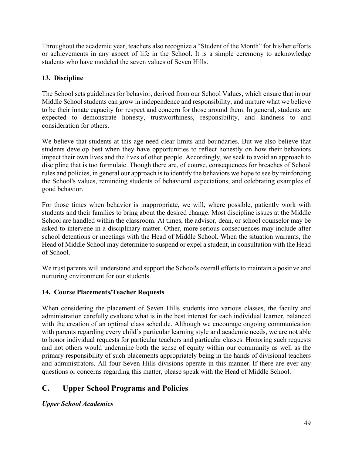Throughout the academic year, teachers also recognize a "Student of the Month" for his/her efforts or achievements in any aspect of life in the School. It is a simple ceremony to acknowledge students who have modeled the seven values of Seven Hills.

# **13. Discipline**

The School sets guidelines for behavior, derived from our School Values, which ensure that in our Middle School students can grow in independence and responsibility, and nurture what we believe to be their innate capacity for respect and concern for those around them. In general, students are expected to demonstrate honesty, trustworthiness, responsibility, and kindness to and consideration for others.

We believe that students at this age need clear limits and boundaries. But we also believe that students develop best when they have opportunities to reflect honestly on how their behaviors impact their own lives and the lives of other people. Accordingly, we seek to avoid an approach to discipline that is too formulaic. Though there are, of course, consequences for breaches of School rules and policies, in general our approach is to identify the behaviors we hope to see by reinforcing the School's values, reminding students of behavioral expectations, and celebrating examples of good behavior.

For those times when behavior is inappropriate, we will, where possible, patiently work with students and their families to bring about the desired change. Most discipline issues at the Middle School are handled within the classroom. At times, the advisor, dean, or school counselor may be asked to intervene in a disciplinary matter. Other, more serious consequences may include after school detentions or meetings with the Head of Middle School. When the situation warrants, the Head of Middle School may determine to suspend or expel a student, in consultation with the Head of School.

We trust parents will understand and support the School's overall efforts to maintain a positive and nurturing environment for our students.

## **14. Course Placements/Teacher Requests**

When considering the placement of Seven Hills students into various classes, the faculty and administration carefully evaluate what is in the best interest for each individual learner, balanced with the creation of an optimal class schedule. Although we encourage ongoing communication with parents regarding every child's particular learning style and academic needs, we are not able to honor individual requests for particular teachers and particular classes. Honoring such requests and not others would undermine both the sense of equity within our community as well as the primary responsibility of such placements appropriately being in the hands of divisional teachers and administrators. All four Seven Hills divisions operate in this manner. If there are ever any questions or concerns regarding this matter, please speak with the Head of Middle School.

# **C. Upper School Programs and Policies**

*Upper School Academics*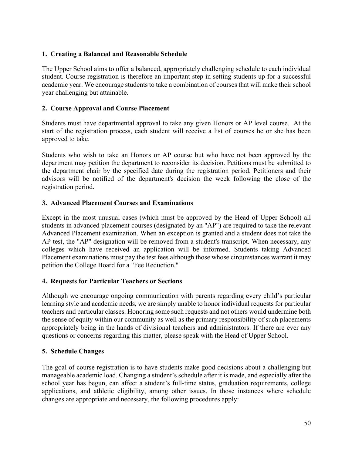### **1. Creating a Balanced and Reasonable Schedule**

The Upper School aims to offer a balanced, appropriately challenging schedule to each individual student. Course registration is therefore an important step in setting students up for a successful academic year. We encourage students to take a combination of courses that will make their school year challenging but attainable.

### **2. Course Approval and Course Placement**

Students must have departmental approval to take any given Honors or AP level course. At the start of the registration process, each student will receive a list of courses he or she has been approved to take.

Students who wish to take an Honors or AP course but who have not been approved by the department may petition the department to reconsider its decision. Petitions must be submitted to the department chair by the specified date during the registration period. Petitioners and their advisors will be notified of the department's decision the week following the close of the registration period.

### **3. Advanced Placement Courses and Examinations**

Except in the most unusual cases (which must be approved by the Head of Upper School) all students in advanced placement courses (designated by an "AP") are required to take the relevant Advanced Placement examination. When an exception is granted and a student does not take the AP test, the "AP" designation will be removed from a student's transcript. When necessary, any colleges which have received an application will be informed. Students taking Advanced Placement examinations must pay the test fees although those whose circumstances warrant it may petition the College Board for a "Fee Reduction."

### **4. Requests for Particular Teachers or Sections**

Although we encourage ongoing communication with parents regarding every child's particular learning style and academic needs, we are simply unable to honor individual requests for particular teachers and particular classes. Honoring some such requests and not others would undermine both the sense of equity within our community as well as the primary responsibility of such placements appropriately being in the hands of divisional teachers and administrators. If there are ever any questions or concerns regarding this matter, please speak with the Head of Upper School.

### **5. Schedule Changes**

The goal of course registration is to have students make good decisions about a challenging but manageable academic load. Changing a student's schedule after it is made, and especially after the school year has begun, can affect a student's full-time status, graduation requirements, college applications, and athletic eligibility, among other issues. In those instances where schedule changes are appropriate and necessary, the following procedures apply: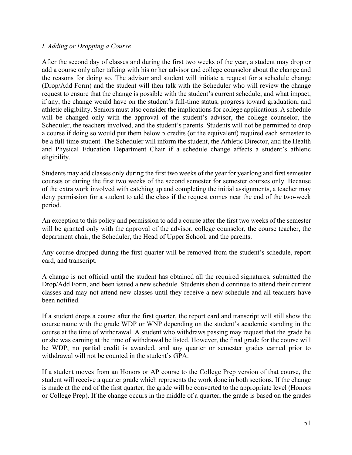#### *I. Adding or Dropping a Course*

After the second day of classes and during the first two weeks of the year, a student may drop or add a course only after talking with his or her advisor and college counselor about the change and the reasons for doing so. The advisor and student will initiate a request for a schedule change (Drop/Add Form) and the student will then talk with the Scheduler who will review the change request to ensure that the change is possible with the student's current schedule, and what impact, if any, the change would have on the student's full-time status, progress toward graduation, and athletic eligibility. Seniors must also consider the implications for college applications. A schedule will be changed only with the approval of the student's advisor, the college counselor, the Scheduler, the teachers involved, and the student's parents. Students will not be permitted to drop a course if doing so would put them below 5 credits (or the equivalent) required each semester to be a full-time student. The Scheduler will inform the student, the Athletic Director, and the Health and Physical Education Department Chair if a schedule change affects a student's athletic eligibility.

Students may add classes only during the first two weeks of the year for yearlong and first semester courses or during the first two weeks of the second semester for semester courses only. Because of the extra work involved with catching up and completing the initial assignments, a teacher may deny permission for a student to add the class if the request comes near the end of the two-week period.

An exception to this policy and permission to add a course after the first two weeks of the semester will be granted only with the approval of the advisor, college counselor, the course teacher, the department chair, the Scheduler, the Head of Upper School, and the parents.

Any course dropped during the first quarter will be removed from the student's schedule, report card, and transcript.

A change is not official until the student has obtained all the required signatures, submitted the Drop/Add Form, and been issued a new schedule. Students should continue to attend their current classes and may not attend new classes until they receive a new schedule and all teachers have been notified.

If a student drops a course after the first quarter, the report card and transcript will still show the course name with the grade WDP or WNP depending on the student's academic standing in the course at the time of withdrawal. A student who withdraws passing may request that the grade he or she was earning at the time of withdrawal be listed. However, the final grade for the course will be WDP, no partial credit is awarded, and any quarter or semester grades earned prior to withdrawal will not be counted in the student's GPA.

If a student moves from an Honors or AP course to the College Prep version of that course, the student will receive a quarter grade which represents the work done in both sections. If the change is made at the end of the first quarter, the grade will be converted to the appropriate level (Honors or College Prep). If the change occurs in the middle of a quarter, the grade is based on the grades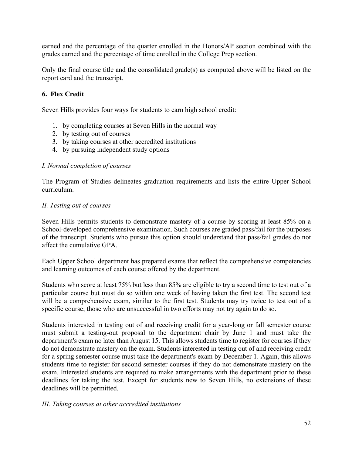earned and the percentage of the quarter enrolled in the Honors/AP section combined with the grades earned and the percentage of time enrolled in the College Prep section.

Only the final course title and the consolidated grade(s) as computed above will be listed on the report card and the transcript.

## **6. Flex Credit**

Seven Hills provides four ways for students to earn high school credit:

- 1. by completing courses at Seven Hills in the normal way
- 2. by testing out of courses
- 3. by taking courses at other accredited institutions
- 4. by pursuing independent study options

#### *I. Normal completion of courses*

The Program of Studies delineates graduation requirements and lists the entire Upper School curriculum.

### *II. Testing out of courses*

Seven Hills permits students to demonstrate mastery of a course by scoring at least 85% on a School-developed comprehensive examination. Such courses are graded pass/fail for the purposes of the transcript. Students who pursue this option should understand that pass/fail grades do not affect the cumulative GPA.

Each Upper School department has prepared exams that reflect the comprehensive competencies and learning outcomes of each course offered by the department.

Students who score at least 75% but less than 85% are eligible to try a second time to test out of a particular course but must do so within one week of having taken the first test. The second test will be a comprehensive exam, similar to the first test. Students may try twice to test out of a specific course; those who are unsuccessful in two efforts may not try again to do so.

Students interested in testing out of and receiving credit for a year-long or fall semester course must submit a testing-out proposal to the department chair by June 1 and must take the department's exam no later than August 15. This allows students time to register for courses if they do not demonstrate mastery on the exam. Students interested in testing out of and receiving credit for a spring semester course must take the department's exam by December 1. Again, this allows students time to register for second semester courses if they do not demonstrate mastery on the exam. Interested students are required to make arrangements with the department prior to these deadlines for taking the test. Except for students new to Seven Hills, no extensions of these deadlines will be permitted.

#### *III. Taking courses at other accredited institutions*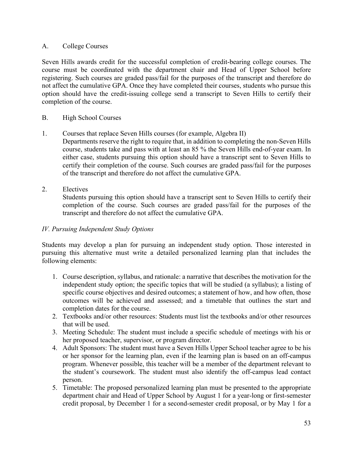### A. College Courses

Seven Hills awards credit for the successful completion of credit-bearing college courses. The course must be coordinated with the department chair and Head of Upper School before registering. Such courses are graded pass/fail for the purposes of the transcript and therefore do not affect the cumulative GPA. Once they have completed their courses, students who pursue this option should have the credit-issuing college send a transcript to Seven Hills to certify their completion of the course.

### B. High School Courses

- 1. Courses that replace Seven Hills courses (for example, Algebra II)
- Departments reserve the right to require that, in addition to completing the non-Seven Hills course, students take and pass with at least an 85 % the Seven Hills end-of-year exam. In either case, students pursuing this option should have a transcript sent to Seven Hills to certify their completion of the course. Such courses are graded pass/fail for the purposes of the transcript and therefore do not affect the cumulative GPA.
- 2. Electives

Students pursuing this option should have a transcript sent to Seven Hills to certify their completion of the course. Such courses are graded pass/fail for the purposes of the transcript and therefore do not affect the cumulative GPA.

### *IV. Pursuing Independent Study Options*

Students may develop a plan for pursuing an independent study option. Those interested in pursuing this alternative must write a detailed personalized learning plan that includes the following elements:

- 1. Course description, syllabus, and rationale: a narrative that describes the motivation for the independent study option; the specific topics that will be studied (a syllabus); a listing of specific course objectives and desired outcomes; a statement of how, and how often, those outcomes will be achieved and assessed; and a timetable that outlines the start and completion dates for the course.
- 2. Textbooks and/or other resources: Students must list the textbooks and/or other resources that will be used.
- 3. Meeting Schedule: The student must include a specific schedule of meetings with his or her proposed teacher, supervisor, or program director.
- 4. Adult Sponsors: The student must have a Seven Hills Upper School teacher agree to be his or her sponsor for the learning plan, even if the learning plan is based on an off-campus program. Whenever possible, this teacher will be a member of the department relevant to the student's coursework. The student must also identify the off-campus lead contact person.
- 5. Timetable: The proposed personalized learning plan must be presented to the appropriate department chair and Head of Upper School by August 1 for a year-long or first-semester credit proposal, by December 1 for a second-semester credit proposal, or by May 1 for a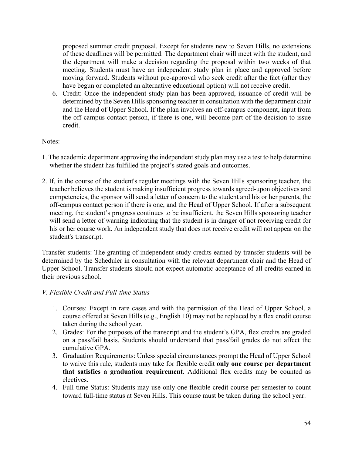proposed summer credit proposal. Except for students new to Seven Hills, no extensions of these deadlines will be permitted. The department chair will meet with the student, and the department will make a decision regarding the proposal within two weeks of that meeting. Students must have an independent study plan in place and approved before moving forward. Students without pre-approval who seek credit after the fact (after they have begun or completed an alternative educational option) will not receive credit.

6. Credit: Once the independent study plan has been approved, issuance of credit will be determined by the Seven Hills sponsoring teacher in consultation with the department chair and the Head of Upper School. If the plan involves an off-campus component, input from the off-campus contact person, if there is one, will become part of the decision to issue credit.

#### Notes:

- 1. The academic department approving the independent study plan may use a test to help determine whether the student has fulfilled the project's stated goals and outcomes.
- 2. If, in the course of the student's regular meetings with the Seven Hills sponsoring teacher, the teacher believes the student is making insufficient progress towards agreed-upon objectives and competencies, the sponsor will send a letter of concern to the student and his or her parents, the off-campus contact person if there is one, and the Head of Upper School. If after a subsequent meeting, the student's progress continues to be insufficient, the Seven Hills sponsoring teacher will send a letter of warning indicating that the student is in danger of not receiving credit for his or her course work. An independent study that does not receive credit will not appear on the student's transcript.

Transfer students: The granting of independent study credits earned by transfer students will be determined by the Scheduler in consultation with the relevant department chair and the Head of Upper School. Transfer students should not expect automatic acceptance of all credits earned in their previous school.

#### *V. Flexible Credit and Full-time Status*

- 1. Courses: Except in rare cases and with the permission of the Head of Upper School, a course offered at Seven Hills (e.g., English 10) may not be replaced by a flex credit course taken during the school year.
- 2. Grades: For the purposes of the transcript and the student's GPA, flex credits are graded on a pass/fail basis. Students should understand that pass/fail grades do not affect the cumulative GPA.
- 3. Graduation Requirements: Unless special circumstances prompt the Head of Upper School to waive this rule, students may take for flexible credit **only one course per department that satisfies a graduation requirement**. Additional flex credits may be counted as electives.
- 4. Full-time Status: Students may use only one flexible credit course per semester to count toward full-time status at Seven Hills. This course must be taken during the school year.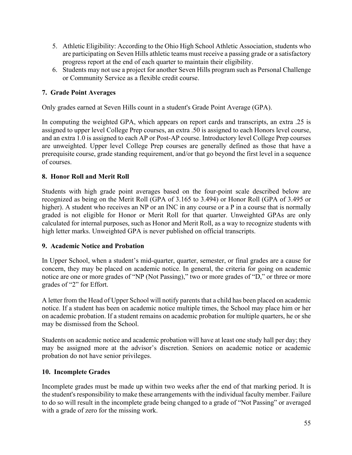- 5. Athletic Eligibility: According to the Ohio High School Athletic Association, students who are participating on Seven Hills athletic teams must receive a passing grade or a satisfactory progress report at the end of each quarter to maintain their eligibility.
- 6. Students may not use a project for another Seven Hills program such as Personal Challenge or Community Service as a flexible credit course.

### **7. Grade Point Averages**

Only grades earned at Seven Hills count in a student's Grade Point Average (GPA).

In computing the weighted GPA, which appears on report cards and transcripts, an extra .25 is assigned to upper level College Prep courses, an extra .50 is assigned to each Honors level course, and an extra 1.0 is assigned to each AP or Post-AP course. Introductory level College Prep courses are unweighted. Upper level College Prep courses are generally defined as those that have a prerequisite course, grade standing requirement, and/or that go beyond the first level in a sequence of courses.

### **8. Honor Roll and Merit Roll**

Students with high grade point averages based on the four-point scale described below are recognized as being on the Merit Roll (GPA of 3.165 to 3.494) or Honor Roll (GPA of 3.495 or higher). A student who receives an NP or an INC in any course or a P in a course that is normally graded is not eligible for Honor or Merit Roll for that quarter. Unweighted GPAs are only calculated for internal purposes, such as Honor and Merit Roll, as a way to recognize students with high letter marks. Unweighted GPA is never published on official transcripts.

### **9. Academic Notice and Probation**

In Upper School, when a student's mid-quarter, quarter, semester, or final grades are a cause for concern, they may be placed on academic notice. In general, the criteria for going on academic notice are one or more grades of "NP (Not Passing)," two or more grades of "D," or three or more grades of "2" for Effort.

A letter from the Head of Upper School will notify parents that a child has been placed on academic notice. If a student has been on academic notice multiple times, the School may place him or her on academic probation. If a student remains on academic probation for multiple quarters, he or she may be dismissed from the School.

Students on academic notice and academic probation will have at least one study hall per day; they may be assigned more at the advisor's discretion. Seniors on academic notice or academic probation do not have senior privileges.

### **10. Incomplete Grades**

Incomplete grades must be made up within two weeks after the end of that marking period. It is the student's responsibility to make these arrangements with the individual faculty member. Failure to do so will result in the incomplete grade being changed to a grade of "Not Passing" or averaged with a grade of zero for the missing work.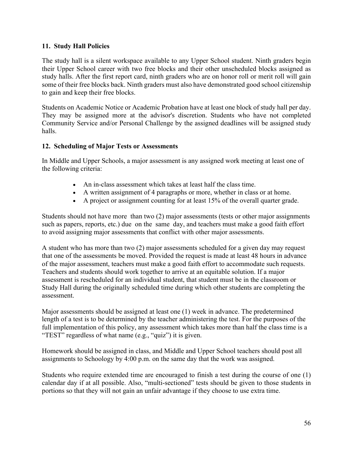### **11. Study Hall Policies**

The study hall is a silent workspace available to any Upper School student. Ninth graders begin their Upper School career with two free blocks and their other unscheduled blocks assigned as study halls. After the first report card, ninth graders who are on honor roll or merit roll will gain some of their free blocks back. Ninth graders must also have demonstrated good school citizenship to gain and keep their free blocks.

Students on Academic Notice or Academic Probation have at least one block of study hall per day. They may be assigned more at the advisor's discretion. Students who have not completed Community Service and/or Personal Challenge by the assigned deadlines will be assigned study halls.

#### **12. Scheduling of Major Tests or Assessments**

In Middle and Upper Schools, a major assessment is any assigned work meeting at least one of the following criteria:

- An in-class assessment which takes at least half the class time.
- A written assignment of 4 paragraphs or more, whether in class or at home.
- A project or assignment counting for at least 15% of the overall quarter grade.

Students should not have more than two (2) major assessments (tests or other major assignments such as papers, reports, etc.) due on the same day, and teachers must make a good faith effort to avoid assigning major assessments that conflict with other major assessments.

A student who has more than two (2) major assessments scheduled for a given day may request that one of the assessments be moved. Provided the request is made at least 48 hours in advance of the major assessment, teachers must make a good faith effort to accommodate such requests. Teachers and students should work together to arrive at an equitable solution. If a major assessment is rescheduled for an individual student, that student must be in the classroom or Study Hall during the originally scheduled time during which other students are completing the assessment.

Major assessments should be assigned at least one (1) week in advance. The predetermined length of a test is to be determined by the teacher administering the test. For the purposes of the full implementation of this policy, any assessment which takes more than half the class time is a "TEST" regardless of what name (e.g., "quiz") it is given.

Homework should be assigned in class, and Middle and Upper School teachers should post all assignments to Schoology by 4:00 p.m. on the same day that the work was assigned.

Students who require extended time are encouraged to finish a test during the course of one (1) calendar day if at all possible. Also, "multi-sectioned" tests should be given to those students in portions so that they will not gain an unfair advantage if they choose to use extra time.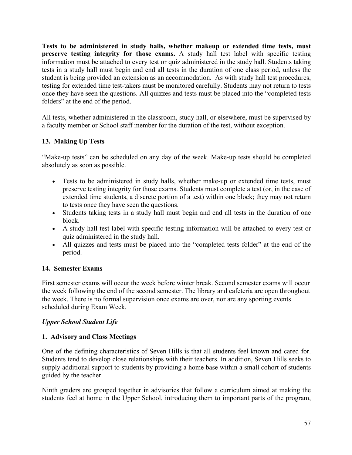**Tests to be administered in study halls, whether makeup or extended time tests, must preserve testing integrity for those exams.** A study hall test label with specific testing information must be attached to every test or quiz administered in the study hall. Students taking tests in a study hall must begin and end all tests in the duration of one class period, unless the student is being provided an extension as an accommodation. As with study hall test procedures, testing for extended time test-takers must be monitored carefully. Students may not return to tests once they have seen the questions. All quizzes and tests must be placed into the "completed tests folders" at the end of the period.

All tests, whether administered in the classroom, study hall, or elsewhere, must be supervised by a faculty member or School staff member for the duration of the test, without exception.

# **13. Making Up Tests**

"Make-up tests" can be scheduled on any day of the week. Make-up tests should be completed absolutely as soon as possible.

- Tests to be administered in study halls, whether make-up or extended time tests, must preserve testing integrity for those exams. Students must complete a test (or, in the case of extended time students, a discrete portion of a test) within one block; they may not return to tests once they have seen the questions.
- Students taking tests in a study hall must begin and end all tests in the duration of one block.
- A study hall test label with specific testing information will be attached to every test or quiz administered in the study hall.
- All quizzes and tests must be placed into the "completed tests folder" at the end of the period.

### **14. Semester Exams**

First semester exams will occur the week before winter break. Second semester exams will occur the week following the end of the second semester. The library and cafeteria are open throughout the week. There is no formal supervision once exams are over, nor are any sporting events scheduled during Exam Week.

### *Upper School Student Life*

### **1. Advisory and Class Meetings**

One of the defining characteristics of Seven Hills is that all students feel known and cared for. Students tend to develop close relationships with their teachers. In addition, Seven Hills seeks to supply additional support to students by providing a home base within a small cohort of students guided by the teacher.

Ninth graders are grouped together in advisories that follow a curriculum aimed at making the students feel at home in the Upper School, introducing them to important parts of the program,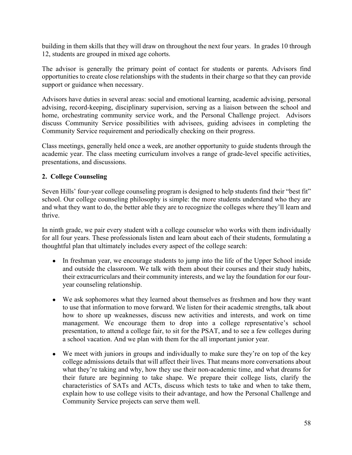building in them skills that they will draw on throughout the next four years. In grades 10 through 12, students are grouped in mixed age cohorts.

The advisor is generally the primary point of contact for students or parents. Advisors find opportunities to create close relationships with the students in their charge so that they can provide support or guidance when necessary.

Advisors have duties in several areas: social and emotional learning, academic advising, personal advising, record-keeping, disciplinary supervision, serving as a liaison between the school and home, orchestrating community service work, and the Personal Challenge project. Advisors discuss Community Service possibilities with advisees, guiding advisees in completing the Community Service requirement and periodically checking on their progress.

Class meetings, generally held once a week, are another opportunity to guide students through the academic year. The class meeting curriculum involves a range of grade-level specific activities, presentations, and discussions.

## **2. College Counseling**

Seven Hills' four-year college counseling program is designed to help students find their "best fit" school. Our college counseling philosophy is simple: the more students understand who they are and what they want to do, the better able they are to recognize the colleges where they'll learn and thrive.

In ninth grade, we pair every student with a college counselor who works with them individually for all four years. These professionals listen and learn about each of their students, formulating a thoughtful plan that ultimately includes every aspect of the college search:

- In freshman year, we encourage students to jump into the life of the Upper School inside and outside the classroom. We talk with them about their courses and their study habits, their extracurriculars and their community interests, and we lay the foundation for our fouryear counseling relationship.
- We ask sophomores what they learned about themselves as freshmen and how they want to use that information to move forward. We listen for their academic strengths, talk about how to shore up weaknesses, discuss new activities and interests, and work on time management. We encourage them to drop into a college representative's school presentation, to attend a college fair, to sit for the PSAT, and to see a few colleges during a school vacation. And we plan with them for the all important junior year.
- We meet with juniors in groups and individually to make sure they're on top of the key college admissions details that will affect their lives. That means more conversations about what they're taking and why, how they use their non-academic time, and what dreams for their future are beginning to take shape. We prepare their college lists, clarify the characteristics of SATs and ACTs, discuss which tests to take and when to take them, explain how to use college visits to their advantage, and how the Personal Challenge and Community Service projects can serve them well.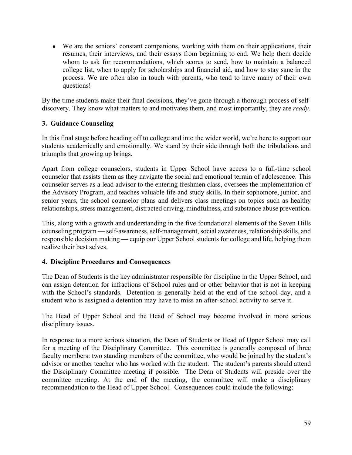● We are the seniors' constant companions, working with them on their applications, their resumes, their interviews, and their essays from beginning to end. We help them decide whom to ask for recommendations, which scores to send, how to maintain a balanced college list, when to apply for scholarships and financial aid, and how to stay sane in the process. We are often also in touch with parents, who tend to have many of their own questions!

By the time students make their final decisions, they've gone through a thorough process of selfdiscovery. They know what matters to and motivates them, and most importantly, they are *ready.*

### **3. Guidance Counseling**

In this final stage before heading off to college and into the wider world, we're here to support our students academically and emotionally. We stand by their side through both the tribulations and triumphs that growing up brings.

Apart from college counselors, students in Upper School have access to a full-time school counselor that assists them as they navigate the social and emotional terrain of adolescence. This counselor serves as a lead advisor to the entering freshmen class, oversees the implementation of the Advisory Program, and teaches valuable life and study skills. In their sophomore, junior, and senior years, the school counselor plans and delivers class meetings on topics such as healthy relationships, stress management, distracted driving, mindfulness, and substance abuse prevention.

This, along with a growth and understanding in the five foundational elements of the Seven Hills counseling program — self-awareness, self-management, social awareness, relationship skills, and responsible decision making — equip our Upper School students for college and life, helping them realize their best selves.

#### **4. Discipline Procedures and Consequences**

The Dean of Students is the key administrator responsible for discipline in the Upper School, and can assign detention for infractions of School rules and or other behavior that is not in keeping with the School's standards. Detention is generally held at the end of the school day, and a student who is assigned a detention may have to miss an after-school activity to serve it.

The Head of Upper School and the Head of School may become involved in more serious disciplinary issues.

In response to a more serious situation, the Dean of Students or Head of Upper School may call for a meeting of the Disciplinary Committee. This committee is generally composed of three faculty members: two standing members of the committee, who would be joined by the student's advisor or another teacher who has worked with the student. The student's parents should attend the Disciplinary Committee meeting if possible. The Dean of Students will preside over the committee meeting. At the end of the meeting, the committee will make a disciplinary recommendation to the Head of Upper School. Consequences could include the following: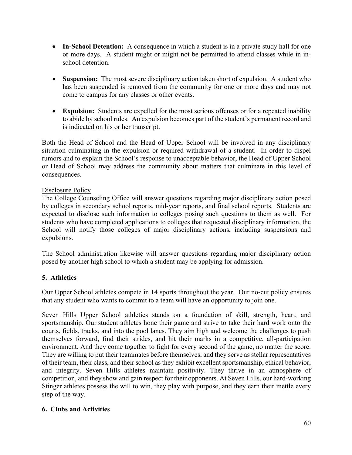- **In-School Detention:** A consequence in which a student is in a private study hall for one or more days. A student might or might not be permitted to attend classes while in inschool detention.
- **Suspension:** The most severe disciplinary action taken short of expulsion. A student who has been suspended is removed from the community for one or more days and may not come to campus for any classes or other events.
- **Expulsion:** Students are expelled for the most serious offenses or for a repeated inability to abide by school rules. An expulsion becomes part of the student's permanent record and is indicated on his or her transcript.

Both the Head of School and the Head of Upper School will be involved in any disciplinary situation culminating in the expulsion or required withdrawal of a student. In order to dispel rumors and to explain the School's response to unacceptable behavior, the Head of Upper School or Head of School may address the community about matters that culminate in this level of consequences.

### Disclosure Policy

The College Counseling Office will answer questions regarding major disciplinary action posed by colleges in secondary school reports, mid-year reports, and final school reports. Students are expected to disclose such information to colleges posing such questions to them as well. For students who have completed applications to colleges that requested disciplinary information, the School will notify those colleges of major disciplinary actions, including suspensions and expulsions.

The School administration likewise will answer questions regarding major disciplinary action posed by another high school to which a student may be applying for admission.

# **5. Athletics**

Our Upper School athletes compete in 14 sports throughout the year. Our no-cut policy ensures that any student who wants to commit to a team will have an opportunity to join one.

Seven Hills Upper School athletics stands on a foundation of skill, strength, heart, and sportsmanship. Our student athletes hone their game and strive to take their hard work onto the courts, fields, tracks, and into the pool lanes. They aim high and welcome the challenges to push themselves forward, find their strides, and hit their marks in a competitive, all-participation environment. And they come together to fight for every second of the game, no matter the score. They are willing to put their teammates before themselves, and they serve as stellar representatives of their team, their class, and their school as they exhibit excellent sportsmanship, ethical behavior, and integrity. Seven Hills athletes maintain positivity. They thrive in an atmosphere of competition, and they show and gain respect for their opponents. At Seven Hills, our hard-working Stinger athletes possess the will to win, they play with purpose, and they earn their mettle every step of the way.

# **6. Clubs and Activities**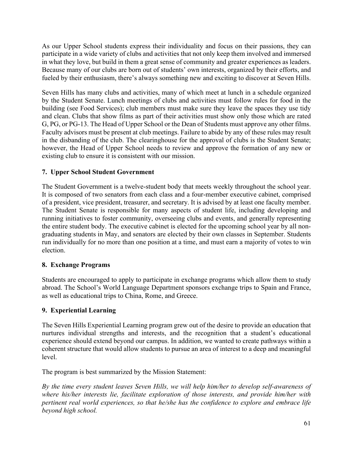As our Upper School students express their individuality and focus on their passions, they can participate in a wide variety of clubs and activities that not only keep them involved and immersed in what they love, but build in them a great sense of community and greater experiences as leaders. Because many of our clubs are born out of students' own interests, organized by their efforts, and fueled by their enthusiasm, there's always something new and exciting to discover at Seven Hills.

Seven Hills has many clubs and activities, many of which meet at lunch in a schedule organized by the Student Senate. Lunch meetings of clubs and activities must follow rules for food in the building (see Food Services); club members must make sure they leave the spaces they use tidy and clean. Clubs that show films as part of their activities must show only those which are rated G, PG, or PG-13. The Head of Upper School or the Dean of Students must approve any other films. Faculty advisors must be present at club meetings. Failure to abide by any of these rules may result in the disbanding of the club. The clearinghouse for the approval of clubs is the Student Senate; however, the Head of Upper School needs to review and approve the formation of any new or existing club to ensure it is consistent with our mission.

## **7. Upper School Student Government**

The Student Government is a twelve-student body that meets weekly throughout the school year. It is composed of two senators from each class and a four-member executive cabinet, comprised of a president, vice president, treasurer, and secretary. It is advised by at least one faculty member. The Student Senate is responsible for many aspects of student life, including developing and running initiatives to foster community, overseeing clubs and events, and generally representing the entire student body. The executive cabinet is elected for the upcoming school year by all nongraduating students in May, and senators are elected by their own classes in September. Students run individually for no more than one position at a time, and must earn a majority of votes to win election.

### **8. Exchange Programs**

Students are encouraged to apply to participate in exchange programs which allow them to study abroad. The School's World Language Department sponsors exchange trips to Spain and France, as well as educational trips to China, Rome, and Greece.

### **9. Experiential Learning**

The Seven Hills Experiential Learning program grew out of the desire to provide an education that nurtures individual strengths and interests, and the recognition that a student's educational experience should extend beyond our campus. In addition, we wanted to create pathways within a coherent structure that would allow students to pursue an area of interest to a deep and meaningful level.

The program is best summarized by the Mission Statement:

*By the time every student leaves Seven Hills, we will help him/her to develop self-awareness of where his/her interests lie, facilitate exploration of those interests, and provide him/her with pertinent real world experiences, so that he/she has the confidence to explore and embrace life beyond high school.*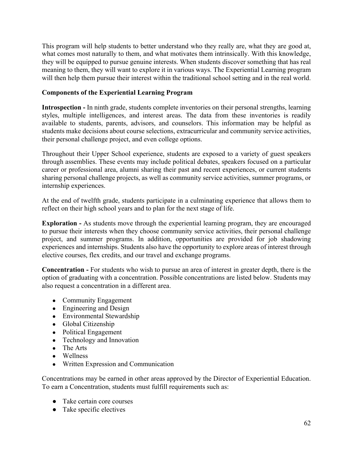This program will help students to better understand who they really are, what they are good at, what comes most naturally to them, and what motivates them intrinsically. With this knowledge, they will be equipped to pursue genuine interests. When students discover something that has real meaning to them, they will want to explore it in various ways. The Experiential Learning program will then help them pursue their interest within the traditional school setting and in the real world.

## **Components of the Experiential Learning Program**

**Introspection -** In ninth grade, students complete inventories on their personal strengths, learning styles, multiple intelligences, and interest areas. The data from these inventories is readily available to students, parents, advisors, and counselors. This information may be helpful as students make decisions about course selections, extracurricular and community service activities, their personal challenge project, and even college options.

Throughout their Upper School experience, students are exposed to a variety of guest speakers through assemblies. These events may include political debates, speakers focused on a particular career or professional area, alumni sharing their past and recent experiences, or current students sharing personal challenge projects, as well as community service activities, summer programs, or internship experiences.

At the end of twelfth grade, students participate in a culminating experience that allows them to reflect on their high school years and to plan for the next stage of life.

**Exploration -** As students move through the experiential learning program, they are encouraged to pursue their interests when they choose community service activities, their personal challenge project, and summer programs. In addition, opportunities are provided for job shadowing experiences and internships. Students also have the opportunity to explore areas of interest through elective courses, flex credits, and our travel and exchange programs.

**Concentration -** For students who wish to pursue an area of interest in greater depth, there is the option of graduating with a concentration. Possible concentrations are listed below. Students may also request a concentration in a different area.

- Community Engagement
- Engineering and Design
- Environmental Stewardship
- Global Citizenship
- Political Engagement
- Technology and Innovation
- The Arts
- Wellness
- Written Expression and Communication

Concentrations may be earned in other areas approved by the Director of Experiential Education. To earn a Concentration, students must fulfill requirements such as:

- Take certain core courses
- Take specific electives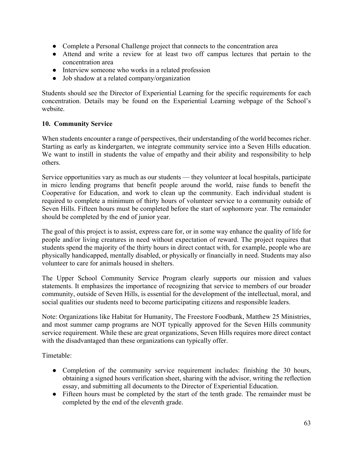- Complete a Personal Challenge project that connects to the concentration area
- Attend and write a review for at least two off campus lectures that pertain to the concentration area
- Interview someone who works in a related profession
- Job shadow at a related company/organization

Students should see the Director of Experiential Learning for the specific requirements for each concentration. Details may be found on the Experiential Learning webpage of the School's website.

## **10. Community Service**

When students encounter a range of perspectives, their understanding of the world becomes richer. Starting as early as kindergarten, we integrate community service into a Seven Hills education. We want to instill in students the value of empathy and their ability and responsibility to help others.

Service opportunities vary as much as our students — they volunteer at local hospitals, participate in micro lending programs that benefit people around the world, raise funds to benefit the Cooperative for Education, and work to clean up the community. Each individual student is required to complete a minimum of thirty hours of volunteer service to a community outside of Seven Hills. Fifteen hours must be completed before the start of sophomore year. The remainder should be completed by the end of junior year.

The goal of this project is to assist, express care for, or in some way enhance the quality of life for people and/or living creatures in need without expectation of reward. The project requires that students spend the majority of the thirty hours in direct contact with, for example, people who are physically handicapped, mentally disabled, or physically or financially in need. Students may also volunteer to care for animals housed in shelters.

The Upper School Community Service Program clearly supports our mission and values statements. It emphasizes the importance of recognizing that service to members of our broader community, outside of Seven Hills, is essential for the development of the intellectual, moral, and social qualities our students need to become participating citizens and responsible leaders.

Note: Organizations like Habitat for Humanity, The Freestore Foodbank, Matthew 25 Ministries, and most summer camp programs are NOT typically approved for the Seven Hills community service requirement. While these are great organizations, Seven Hills requires more direct contact with the disadvantaged than these organizations can typically offer.

Timetable:

- Completion of the community service requirement includes: finishing the 30 hours, obtaining a signed hours verification sheet, sharing with the advisor, writing the reflection essay, and submitting all documents to the Director of Experiential Education.
- Fifteen hours must be completed by the start of the tenth grade. The remainder must be completed by the end of the eleventh grade.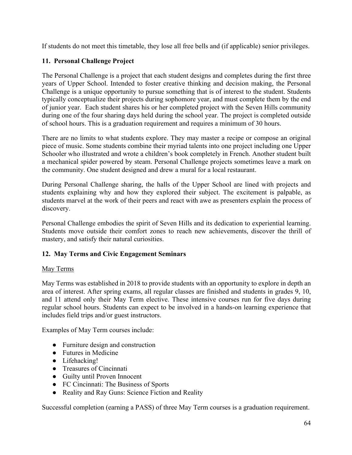If students do not meet this timetable, they lose all free bells and (if applicable) senior privileges.

# **11. Personal Challenge Project**

The Personal Challenge is a project that each student designs and completes during the first three years of Upper School. Intended to foster creative thinking and decision making, the Personal Challenge is a unique opportunity to pursue something that is of interest to the student. Students typically conceptualize their projects during sophomore year, and must complete them by the end of junior year. Each student shares his or her completed project with the Seven Hills community during one of the four sharing days held during the school year. The project is completed outside of school hours. This is a graduation requirement and requires a minimum of 30 hours.

There are no limits to what students explore. They may master a recipe or compose an original piece of music. Some students combine their myriad talents into one project including one Upper Schooler who illustrated and wrote a children's book completely in French. Another student built a mechanical spider powered by steam. Personal Challenge projects sometimes leave a mark on the community. One student designed and drew a mural for a local restaurant.

During Personal Challenge sharing, the halls of the Upper School are lined with projects and students explaining why and how they explored their subject. The excitement is palpable, as students marvel at the work of their peers and react with awe as presenters explain the process of discovery.

Personal Challenge embodies the spirit of Seven Hills and its dedication to experiential learning. Students move outside their comfort zones to reach new achievements, discover the thrill of mastery, and satisfy their natural curiosities.

# **12. May Terms and Civic Engagement Seminars**

### May Terms

May Terms was established in 2018 to provide students with an opportunity to explore in depth an area of interest. After spring exams, all regular classes are finished and students in grades 9, 10, and 11 attend only their May Term elective. These intensive courses run for five days during regular school hours. Students can expect to be involved in a hands-on learning experience that includes field trips and/or guest instructors.

Examples of May Term courses include:

- Furniture design and construction
- Futures in Medicine
- Lifehacking!
- Treasures of Cincinnati
- Guilty until Proven Innocent
- FC Cincinnati: The Business of Sports
- Reality and Ray Guns: Science Fiction and Reality

Successful completion (earning a PASS) of three May Term courses is a graduation requirement.